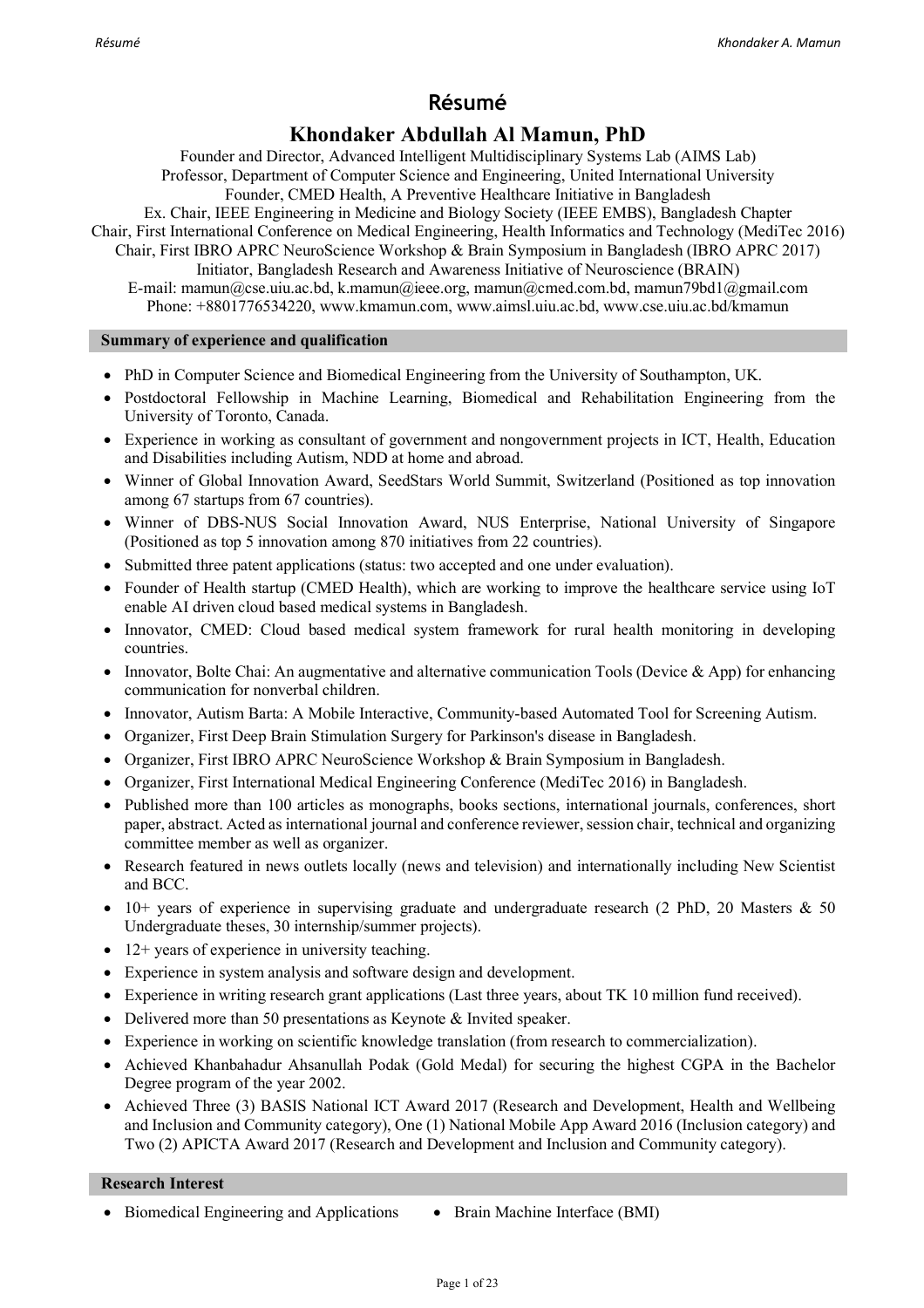## **Résumé**

## **Khondaker Abdullah Al Mamun, PhD**

Founder and Director, Advanced Intelligent Multidisciplinary Systems Lab (AIMS Lab) Professor, Department of Computer Science and Engineering, United International University

Founder, CMED Health, A Preventive Healthcare Initiative in Bangladesh

Ex. Chair, IEEE Engineering in Medicine and Biology Society (IEEE EMBS), Bangladesh Chapter Chair, First International Conference on Medical Engineering, Health Informatics and Technology (MediTec 2016) Chair, First IBRO APRC NeuroScience Workshop & Brain Symposium in Bangladesh (IBRO APRC 2017)

Initiator, Bangladesh Research and Awareness Initiative of Neuroscience (BRAIN) E-mail: mamun@cse.uiu.ac.bd, k.mamun@ieee.org, mamun@cmed.com.bd, mamun79bd1@gmail.com Phone: +8801776534220, www.kmamun.com, www.aimsl.uiu.ac.bd, www.cse.uiu.ac.bd/kmamun

## **Summary of experience and qualification**

- PhD in Computer Science and Biomedical Engineering from the University of Southampton, UK.
- Postdoctoral Fellowship in Machine Learning, Biomedical and Rehabilitation Engineering from the University of Toronto, Canada.
- Experience in working as consultant of government and nongovernment projects in ICT, Health, Education and Disabilities including Autism, NDD at home and abroad.
- Winner of Global Innovation Award, SeedStars World Summit, Switzerland (Positioned as top innovation among 67 startups from 67 countries).
- Winner of DBS-NUS Social Innovation Award, NUS Enterprise, National University of Singapore (Positioned as top 5 innovation among 870 initiatives from 22 countries).
- Submitted three patent applications (status: two accepted and one under evaluation).
- Founder of Health startup (CMED Health), which are working to improve the healthcare service using IoT enable AI driven cloud based medical systems in Bangladesh.
- Innovator, CMED: Cloud based medical system framework for rural health monitoring in developing countries.
- Innovator, Bolte Chai: An augmentative and alternative communication Tools (Device  $\&$  App) for enhancing communication for nonverbal children.
- Innovator, Autism Barta: A Mobile Interactive, Community-based Automated Tool for Screening Autism.
- Organizer, First Deep Brain Stimulation Surgery for Parkinson's disease in Bangladesh.
- Organizer, First IBRO APRC NeuroScience Workshop & Brain Symposium in Bangladesh.
- Organizer, First International Medical Engineering Conference (MediTec 2016) in Bangladesh.
- Published more than 100 articles as monographs, books sections, international journals, conferences, short paper, abstract. Acted as international journal and conference reviewer, session chair, technical and organizing committee member as well as organizer.
- Research featured in news outlets locally (news and television) and internationally including New Scientist and BCC.
- 10+ years of experience in supervising graduate and undergraduate research (2 PhD, 20 Masters & 50 Undergraduate theses, 30 internship/summer projects).
- 12+ years of experience in university teaching.
- Experience in system analysis and software design and development.
- Experience in writing research grant applications (Last three years, about TK 10 million fund received).
- Delivered more than 50 presentations as Keynote & Invited speaker.
- Experience in working on scientific knowledge translation (from research to commercialization).
- Achieved Khanbahadur Ahsanullah Podak (Gold Medal) for securing the highest CGPA in the Bachelor Degree program of the year 2002.
- Achieved Three (3) BASIS National ICT Award 2017 (Research and Development, Health and Wellbeing and Inclusion and Community category), One (1) National Mobile App Award 2016 (Inclusion category) and Two (2) APICTA Award 2017 (Research and Development and Inclusion and Community category).

## **Research Interest**

• Biomedical Engineering and Applications • Brain Machine Interface (BMI)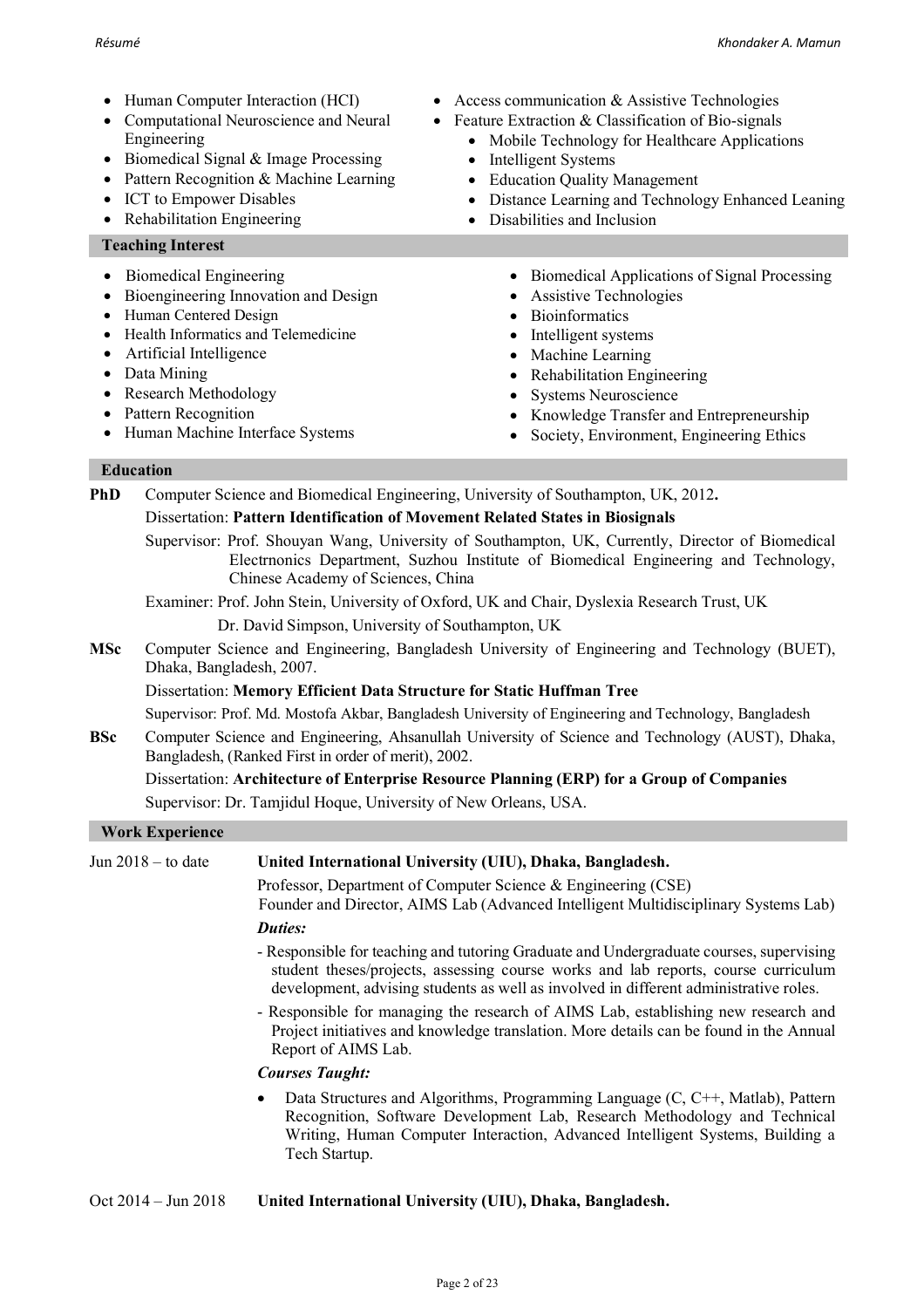- Human Computer Interaction (HCI)
- Computational Neuroscience and Neural Engineering
- Biomedical Signal & Image Processing
- Pattern Recognition & Machine Learning
- ICT to Empower Disables
- Rehabilitation Engineering

## **Teaching Interest**

- Biomedical Engineering **:**
- Bioengineering Innovation and Design
- Human Centered Design
- Health Informatics and Telemedicine
- Artificial Intelligence
- Data Mining
- Research Methodology
- Pattern Recognition
- Human Machine Interface Systems
- Access communication & Assistive Technologies
- Feature Extraction & Classification of Bio-signals
	- Mobile Technology for Healthcare Applications
	- Intelligent Systems
	- Education Quality Management
	- Distance Learning and Technology Enhanced Leaning
	- Disabilities and Inclusion
		- Biomedical Applications of Signal Processing
		- Assistive Technologies
		- Bioinformatics
		- Intelligent systems
		- Machine Learning
		- Rehabilitation Engineering
		- Systems Neuroscience
		- Knowledge Transfer and Entrepreneurship
		- Society, Environment, Engineering Ethics

## **Education**

**PhD** Computer Science and Biomedical Engineering, University of Southampton, UK, 2012**.**

## Dissertation: **Pattern Identification of Movement Related States in Biosignals**

Supervisor: Prof. Shouyan Wang, University of Southampton, UK, Currently, Director of Biomedical Electrnonics Department, Suzhou Institute of Biomedical Engineering and Technology, Chinese Academy of Sciences, China

Examiner: Prof. John Stein, University of Oxford, UK and Chair, Dyslexia Research Trust, UK

- Dr. David Simpson, University of Southampton, UK
- **MSc** Computer Science and Engineering, Bangladesh University of Engineering and Technology (BUET), Dhaka, Bangladesh, 2007.

Dissertation: **Memory Efficient Data Structure for Static Huffman Tree**

Supervisor: Prof. Md. Mostofa Akbar, Bangladesh University of Engineering and Technology, Bangladesh

**BSc** Computer Science and Engineering, Ahsanullah University of Science and Technology (AUST), Dhaka, Bangladesh, (Ranked First in order of merit), 2002.

## Dissertation: **Architecture of Enterprise Resource Planning (ERP) for a Group of Companies**

Supervisor: Dr. Tamjidul Hoque, University of New Orleans, USA.

## **Work Experience**

| Jun $2018 -$ to date | United International University (UIU), Dhaka, Bangladesh.                                                                                                                                                                                                              |
|----------------------|------------------------------------------------------------------------------------------------------------------------------------------------------------------------------------------------------------------------------------------------------------------------|
|                      | Professor, Department of Computer Science & Engineering (CSE)<br>Founder and Director, AIMS Lab (Advanced Intelligent Multidisciplinary Systems Lab)                                                                                                                   |
|                      | Duties:                                                                                                                                                                                                                                                                |
|                      | - Responsible for teaching and tutoring Graduate and Undergraduate courses, supervising<br>student theses/projects, assessing course works and lab reports, course curriculum<br>development, advising students as well as involved in different administrative roles. |
|                      | - Responsible for managing the research of AIMS Lab, establishing new research and<br>Project initiatives and knowledge translation. More details can be found in the Annual<br>Report of AIMS Lab.                                                                    |
|                      | <b>Courses Taught:</b>                                                                                                                                                                                                                                                 |
|                      | Data Structures and Algorithms, Programming Language (C, C++, Matlab), Pattern<br>Recognition, Software Development Lab, Research Methodology and Technical<br>Writing, Human Computer Interaction, Advanced Intelligent Systems, Building a<br>Tech Startup.          |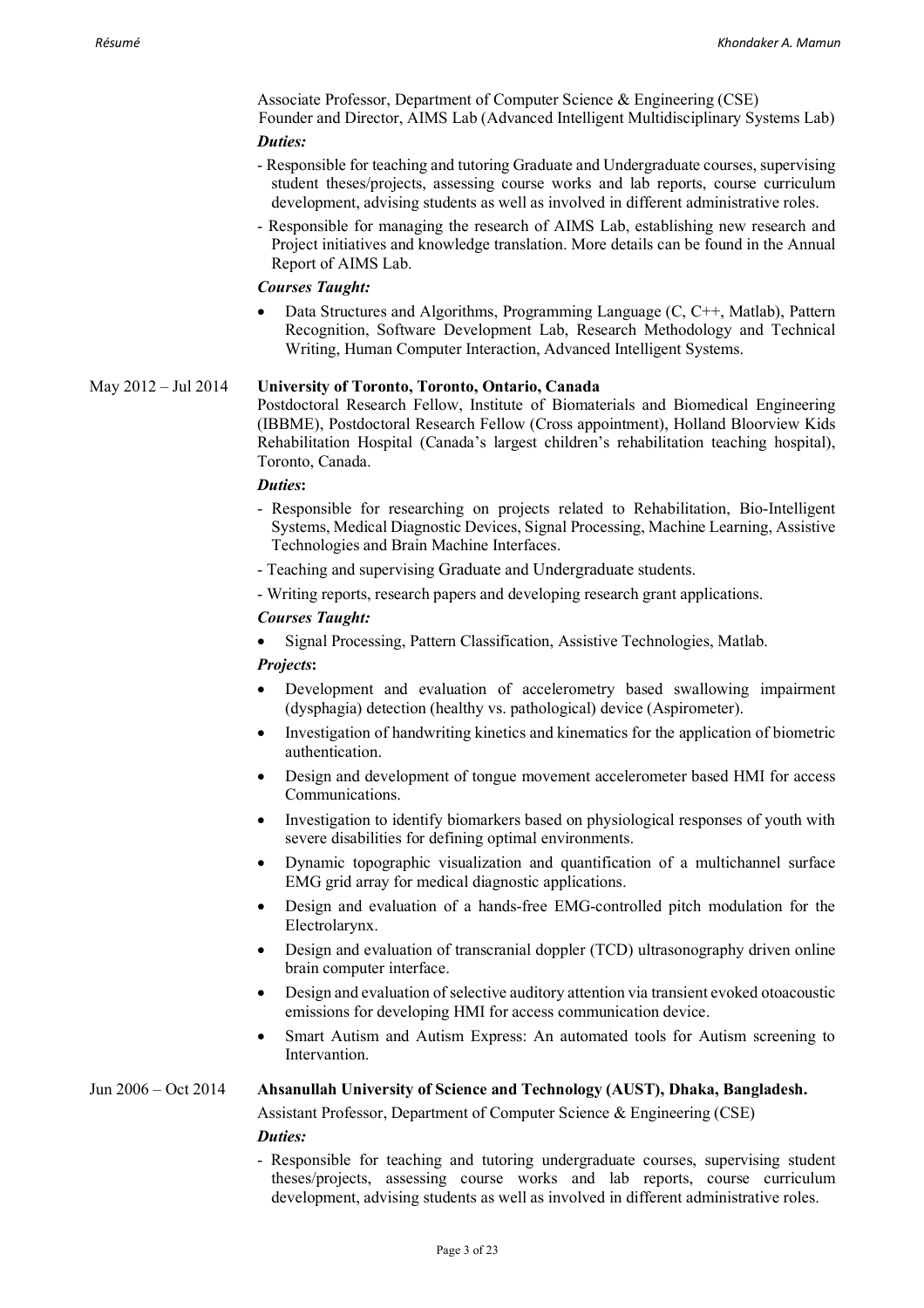Associate Professor, Department of Computer Science & Engineering (CSE) Founder and Director, AIMS Lab (Advanced Intelligent Multidisciplinary Systems Lab)

## *Duties:*

- Responsible for teaching and tutoring Graduate and Undergraduate courses, supervising student theses/projects, assessing course works and lab reports, course curriculum development, advising students as well as involved in different administrative roles.
- Responsible for managing the research of AIMS Lab, establishing new research and Project initiatives and knowledge translation. More details can be found in the Annual Report of AIMS Lab.

## *Courses Taught:*

• Data Structures and Algorithms, Programming Language (C, C++, Matlab), Pattern Recognition, Software Development Lab, Research Methodology and Technical Writing, Human Computer Interaction, Advanced Intelligent Systems.

## May 2012 – Jul 2014 **University of Toronto, Toronto, Ontario, Canada**

Postdoctoral Research Fellow, Institute of Biomaterials and Biomedical Engineering (IBBME), Postdoctoral Research Fellow (Cross appointment), Holland Bloorview Kids Rehabilitation Hospital (Canada's largest children's rehabilitation teaching hospital), Toronto, Canada.

#### *Duties***:**

- Responsible for researching on projects related to Rehabilitation, Bio-Intelligent Systems, Medical Diagnostic Devices, Signal Processing, Machine Learning, Assistive Technologies and Brain Machine Interfaces.
- Teaching and supervising Graduate and Undergraduate students.
- Writing reports, research papers and developing research grant applications.

#### *Courses Taught:*

• Signal Processing, Pattern Classification, Assistive Technologies, Matlab.

#### *Projects***:**

- Development and evaluation of accelerometry based swallowing impairment (dysphagia) detection (healthy vs. pathological) device (Aspirometer).
- Investigation of handwriting kinetics and kinematics for the application of biometric authentication.
- Design and development of tongue movement accelerometer based HMI for access Communications.
- Investigation to identify biomarkers based on physiological responses of youth with severe disabilities for defining optimal environments.
- Dynamic topographic visualization and quantification of a multichannel surface EMG grid array for medical diagnostic applications.
- Design and evaluation of a hands-free EMG-controlled pitch modulation for the Electrolarynx.
- Design and evaluation of transcranial doppler (TCD) ultrasonography driven online brain computer interface.
- Design and evaluation of selective auditory attention via transient evoked otoacoustic emissions for developing HMI for access communication device.
- Smart Autism and Autism Express: An automated tools for Autism screening to **Intervantion**

# Jun 2006 – Oct 2014 **Ahsanullah University of Science and Technology (AUST), Dhaka, Bangladesh.**

Assistant Professor, Department of Computer Science & Engineering (CSE) *Duties:*

- Responsible for teaching and tutoring undergraduate courses, supervising student theses/projects, assessing course works and lab reports, course curriculum development, advising students as well as involved in different administrative roles.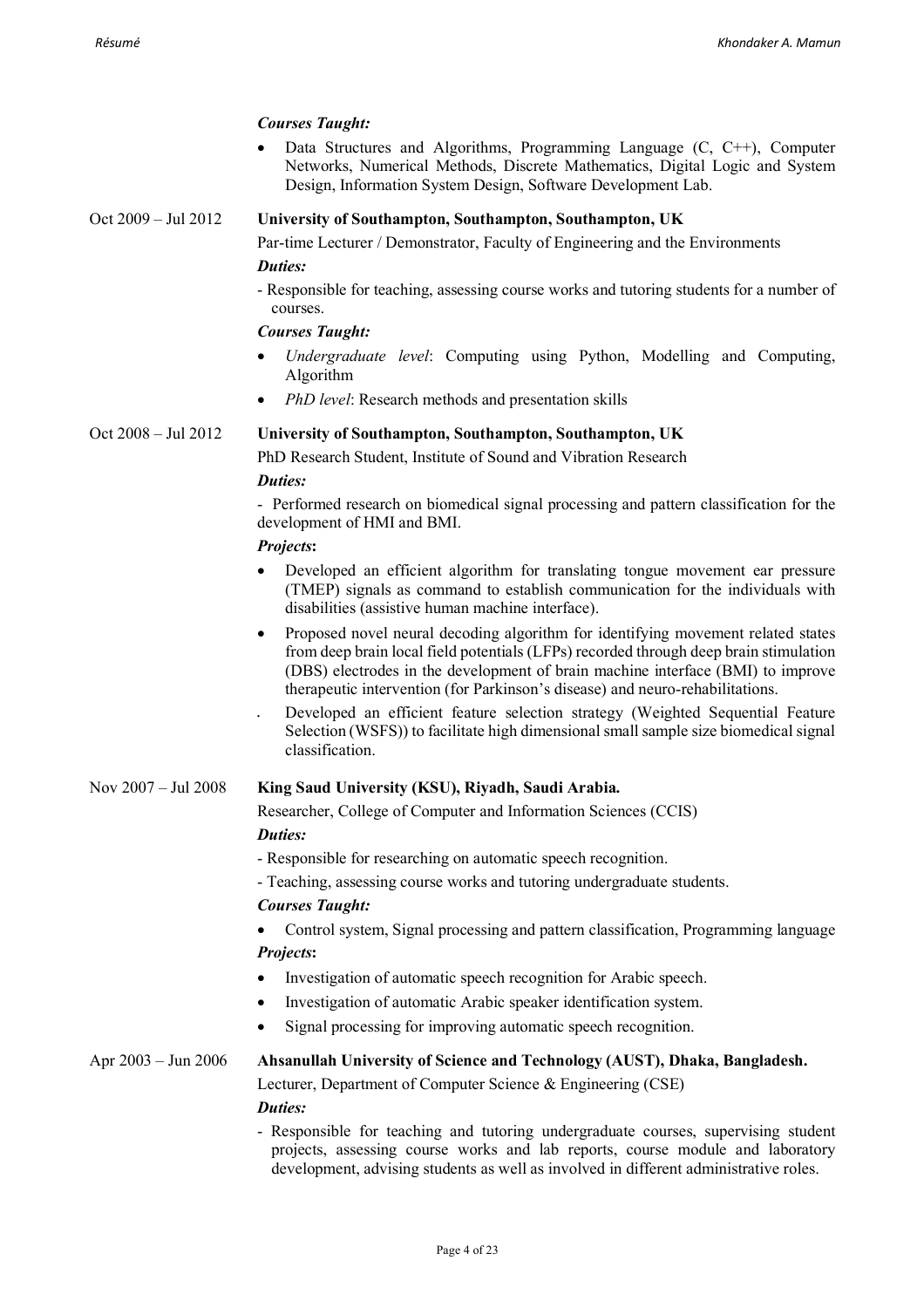|                     | <b>Courses Taught:</b>                                                                                                                                                                                                                                                                                                                                     |
|---------------------|------------------------------------------------------------------------------------------------------------------------------------------------------------------------------------------------------------------------------------------------------------------------------------------------------------------------------------------------------------|
|                     | Data Structures and Algorithms, Programming Language $(C, C++)$ , Computer<br>Networks, Numerical Methods, Discrete Mathematics, Digital Logic and System<br>Design, Information System Design, Software Development Lab.                                                                                                                                  |
| Oct 2009 - Jul 2012 | University of Southampton, Southampton, Southampton, UK                                                                                                                                                                                                                                                                                                    |
|                     | Par-time Lecturer / Demonstrator, Faculty of Engineering and the Environments                                                                                                                                                                                                                                                                              |
|                     | <b>Duties:</b><br>- Responsible for teaching, assessing course works and tutoring students for a number of<br>courses.                                                                                                                                                                                                                                     |
|                     | <b>Courses Taught:</b>                                                                                                                                                                                                                                                                                                                                     |
|                     | Undergraduate level: Computing using Python, Modelling and Computing,<br>Algorithm                                                                                                                                                                                                                                                                         |
|                     | PhD level: Research methods and presentation skills<br>$\bullet$                                                                                                                                                                                                                                                                                           |
| Oct 2008 - Jul 2012 | University of Southampton, Southampton, Southampton, UK                                                                                                                                                                                                                                                                                                    |
|                     | PhD Research Student, Institute of Sound and Vibration Research                                                                                                                                                                                                                                                                                            |
|                     | Duties:                                                                                                                                                                                                                                                                                                                                                    |
|                     | - Performed research on biomedical signal processing and pattern classification for the<br>development of HMI and BMI.                                                                                                                                                                                                                                     |
|                     | Projects:                                                                                                                                                                                                                                                                                                                                                  |
|                     | Developed an efficient algorithm for translating tongue movement ear pressure<br>(TMEP) signals as command to establish communication for the individuals with<br>disabilities (assistive human machine interface).                                                                                                                                        |
|                     | Proposed novel neural decoding algorithm for identifying movement related states<br>$\bullet$<br>from deep brain local field potentials (LFPs) recorded through deep brain stimulation<br>(DBS) electrodes in the development of brain machine interface (BMI) to improve<br>therapeutic intervention (for Parkinson's disease) and neuro-rehabilitations. |
|                     | Developed an efficient feature selection strategy (Weighted Sequential Feature<br>Selection (WSFS)) to facilitate high dimensional small sample size biomedical signal<br>classification.                                                                                                                                                                  |
| Nov 2007 - Jul 2008 | King Saud University (KSU), Riyadh, Saudi Arabia.                                                                                                                                                                                                                                                                                                          |
|                     | Researcher, College of Computer and Information Sciences (CCIS)                                                                                                                                                                                                                                                                                            |
|                     | <b>Duties:</b>                                                                                                                                                                                                                                                                                                                                             |
|                     | - Responsible for researching on automatic speech recognition.                                                                                                                                                                                                                                                                                             |
|                     | - Teaching, assessing course works and tutoring undergraduate students.                                                                                                                                                                                                                                                                                    |
|                     | <b>Courses Taught:</b>                                                                                                                                                                                                                                                                                                                                     |
|                     | Control system, Signal processing and pattern classification, Programming language                                                                                                                                                                                                                                                                         |
|                     | Projects:<br>Investigation of automatic speech recognition for Arabic speech.                                                                                                                                                                                                                                                                              |
|                     | Investigation of automatic Arabic speaker identification system.<br>$\bullet$                                                                                                                                                                                                                                                                              |
|                     | Signal processing for improving automatic speech recognition.                                                                                                                                                                                                                                                                                              |
|                     |                                                                                                                                                                                                                                                                                                                                                            |
| Apr 2003 – Jun 2006 | Ahsanullah University of Science and Technology (AUST), Dhaka, Bangladesh.                                                                                                                                                                                                                                                                                 |
|                     | Lecturer, Department of Computer Science & Engineering (CSE)<br><b>Duties:</b>                                                                                                                                                                                                                                                                             |
|                     | - Responsible for teaching and tutoring undergraduate courses, supervising student<br>projects, assessing course works and lab reports, course module and laboratory<br>development, advising students as well as involved in different administrative roles.                                                                                              |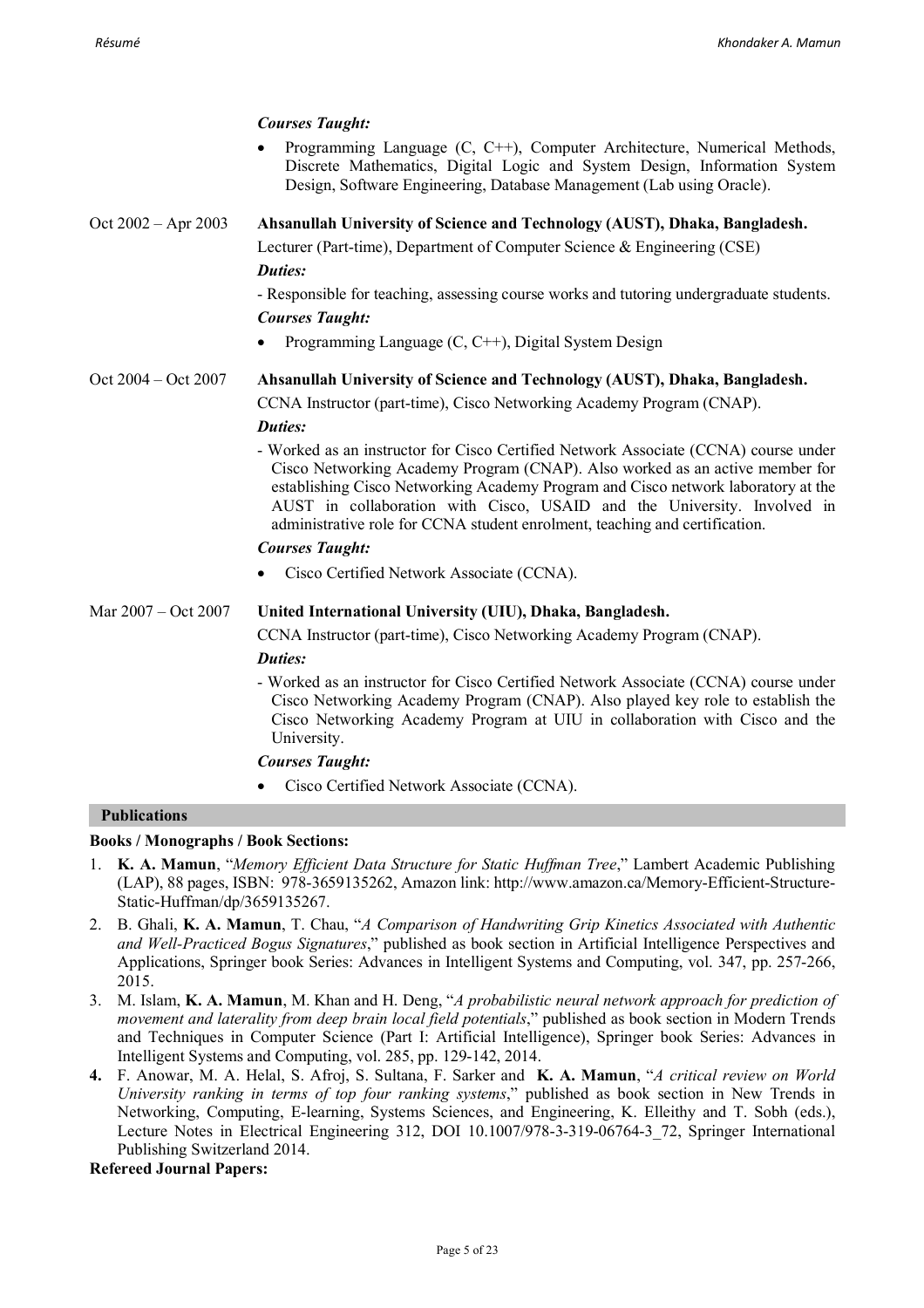## *Courses Taught:*

• Programming Language (C, C++), Computer Architecture, Numerical Methods, Discrete Mathematics, Digital Logic and System Design, Information System Design, Software Engineering, Database Management (Lab using Oracle).

## Oct 2002 – Apr 2003 **Ahsanullah University of Science and Technology (AUST), Dhaka, Bangladesh.** Lecturer (Part-time), Department of Computer Science & Engineering (CSE)

## *Duties:*

- Responsible for teaching, assessing course works and tutoring undergraduate students. *Courses Taught:*

• Programming Language (C, C++), Digital System Design

Oct 2004 – Oct 2007 **Ahsanullah University of Science and Technology (AUST), Dhaka, Bangladesh.**

CCNA Instructor (part-time), Cisco Networking Academy Program (CNAP). *Duties:*

- Worked as an instructor for Cisco Certified Network Associate (CCNA) course under Cisco Networking Academy Program (CNAP). Also worked as an active member for establishing Cisco Networking Academy Program and Cisco network laboratory at the AUST in collaboration with Cisco, USAID and the University. Involved in administrative role for CCNA student enrolment, teaching and certification.

## *Courses Taught:*

• Cisco Certified Network Associate (CCNA).

## Mar 2007 – Oct 2007 **United International University (UIU), Dhaka, Bangladesh.**

CCNA Instructor (part-time), Cisco Networking Academy Program (CNAP).

## *Duties:*

- Worked as an instructor for Cisco Certified Network Associate (CCNA) course under Cisco Networking Academy Program (CNAP). Also played key role to establish the Cisco Networking Academy Program at UIU in collaboration with Cisco and the University.

## *Courses Taught:*

• Cisco Certified Network Associate (CCNA).

## **Publications**

## **Books / Monographs / Book Sections:**

- 1. **K. A. Mamun**, "*Memory Efficient Data Structure for Static Huffman Tree*," Lambert Academic Publishing (LAP), 88 pages, ISBN: 978-3659135262, Amazon link: http://www.amazon.ca/Memory-Efficient-Structure-Static-Huffman/dp/3659135267.
- 2. B. Ghali, **K. A. Mamun**, T. Chau, "*A Comparison of Handwriting Grip Kinetics Associated with Authentic and Well-Practiced Bogus Signatures*," published as book section in Artificial Intelligence Perspectives and Applications, Springer book Series: Advances in Intelligent Systems and Computing, vol. 347, pp. 257-266, 2015.
- 3. M. Islam, **K. A. Mamun**, M. Khan and H. Deng, "*A probabilistic neural network approach for prediction of movement and laterality from deep brain local field potentials*," published as book section in Modern Trends and Techniques in Computer Science (Part I: Artificial Intelligence), Springer book Series: Advances in Intelligent Systems and Computing, vol. 285, pp. 129-142, 2014.
- **4.** F. Anowar, M. A. Helal, S. Afroj, S. Sultana, F. Sarker and **K. A. Mamun**, "*A critical review on World University ranking in terms of top four ranking systems*," published as book section in New Trends in Networking, Computing, E-learning, Systems Sciences, and Engineering, K. Elleithy and T. Sobh (eds.), Lecture Notes in Electrical Engineering 312, DOI 10.1007/978-3-319-06764-3 72, Springer International Publishing Switzerland 2014.

## **Refereed Journal Papers:**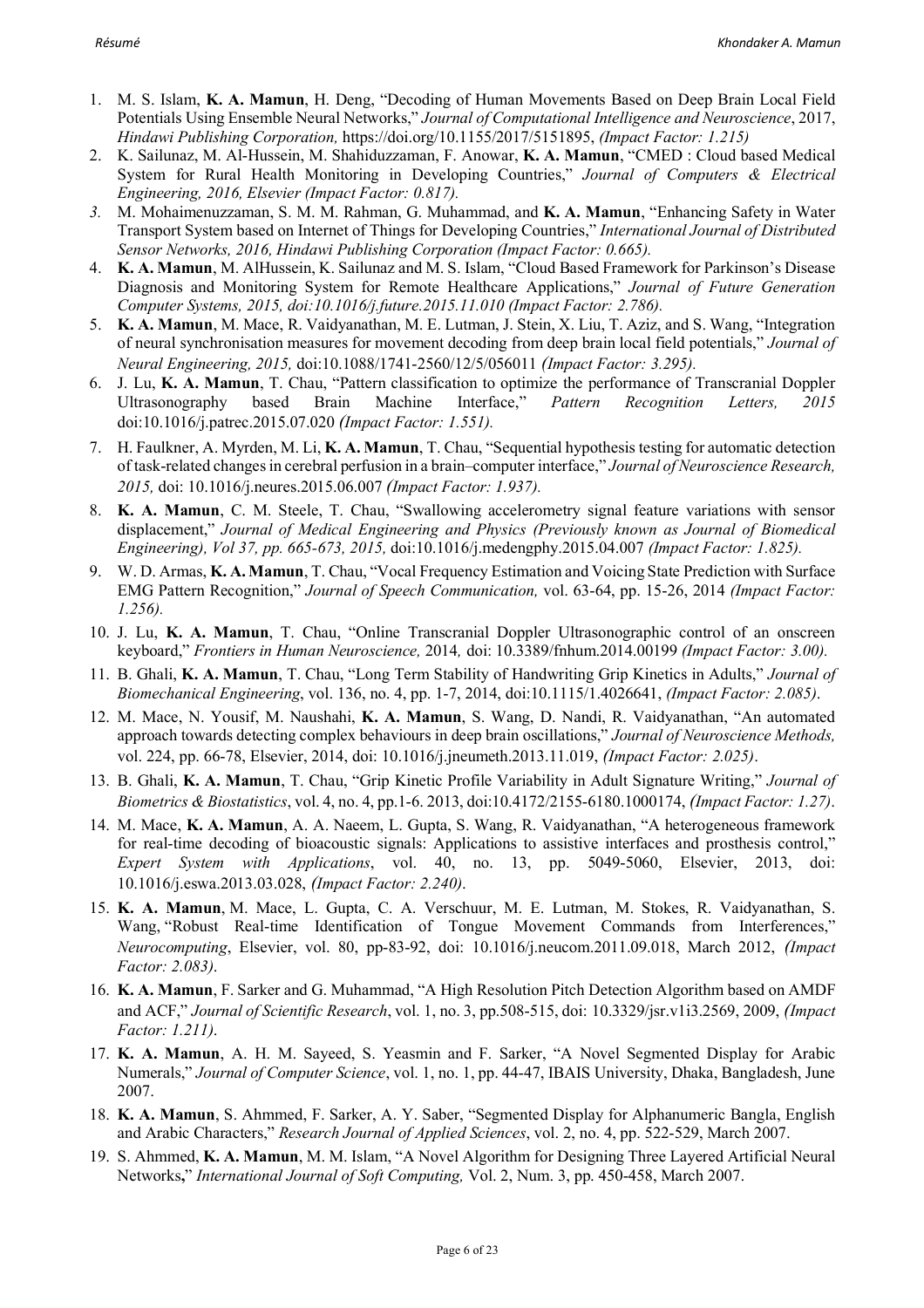- 1. M. S. Islam, **K. A. Mamun**, H. Deng, "Decoding of Human Movements Based on Deep Brain Local Field Potentials Using Ensemble Neural Networks," *Journal of Computational Intelligence and Neuroscience*, 2017, *Hindawi Publishing Corporation,* https://doi.org/10.1155/2017/5151895, *(Impact Factor: 1.215)*
- 2. K. Sailunaz, M. Al-Hussein, M. Shahiduzzaman, F. Anowar, **K. A. Mamun**, "CMED : Cloud based Medical System for Rural Health Monitoring in Developing Countries," *Journal of Computers & Electrical Engineering, 2016, Elsevier (Impact Factor: 0.817).*
- *3.* M. Mohaimenuzzaman, S. M. M. Rahman, G. Muhammad, and **K. A. Mamun**, "Enhancing Safety in Water Transport System based on Internet of Things for Developing Countries," *International Journal of Distributed Sensor Networks, 2016, Hindawi Publishing Corporation (Impact Factor: 0.665).*
- 4. **K. A. Mamun**, M. AlHussein, K. Sailunaz and M. S. Islam, "Cloud Based Framework for Parkinson's Disease Diagnosis and Monitoring System for Remote Healthcare Applications," *Journal of Future Generation Computer Systems, 2015, doi:10.1016/j.future.2015.11.010 (Impact Factor: 2.786).*
- 5. **K. A. Mamun**, M. Mace, R. Vaidyanathan, M. E. Lutman, J. Stein, X. Liu, T. Aziz, and S. Wang, "Integration of neural synchronisation measures for movement decoding from deep brain local field potentials," *Journal of Neural Engineering, 2015,* doi:10.1088/1741-2560/12/5/056011 *(Impact Factor: 3.295).*
- 6. J. Lu, **K. A. Mamun**, T. Chau, "Pattern classification to optimize the performance of Transcranial Doppler Ultrasonography based Brain Machine Interface," *Pattern Recognition Letters, 2015*  doi:10.1016/j.patrec.2015.07.020 *(Impact Factor: 1.551).*
- 7. H. Faulkner, A. Myrden, M. Li, **K. A. Mamun**, T. Chau, "Sequential hypothesis testing for automatic detection of task-related changes in cerebral perfusion in a brain–computer interface," *Journal of Neuroscience Research, 2015,* doi: 10.1016/j.neures.2015.06.007 *(Impact Factor: 1.937).*
- 8. **K. A. Mamun**, C. M. Steele, T. Chau, "Swallowing accelerometry signal feature variations with sensor displacement," *Journal of Medical Engineering and Physics (Previously known as Journal of Biomedical Engineering), Vol 37, pp. 665-673, 2015,* doi:10.1016/j.medengphy.2015.04.007 *(Impact Factor: 1.825).*
- 9. W. D. Armas, **K. A. Mamun**, T. Chau, "Vocal Frequency Estimation and Voicing State Prediction with Surface EMG Pattern Recognition," *Journal of Speech Communication,* vol. 63-64, pp. 15-26, 2014 *(Impact Factor: 1.256).*
- 10. J. Lu, **K. A. Mamun**, T. Chau, "Online Transcranial Doppler Ultrasonographic control of an onscreen keyboard," *Frontiers in Human Neuroscience,* 2014*,* doi: 10.3389/fnhum.2014.00199 *(Impact Factor: 3.00).*
- 11. B. Ghali, **K. A. Mamun**, T. Chau, "Long Term Stability of Handwriting Grip Kinetics in Adults," *Journal of Biomechanical Engineering*, vol. 136, no. 4, pp. 1-7, 2014, doi:10.1115/1.4026641, *(Impact Factor: 2.085)*.
- 12. M. Mace, N. Yousif, M. Naushahi, **K. A. Mamun**, S. Wang, D. Nandi, R. Vaidyanathan, "An automated approach towards detecting complex behaviours in deep brain oscillations," *Journal of Neuroscience Methods,* vol. 224, pp. 66-78, Elsevier, 2014, doi: 10.1016/j.jneumeth.2013.11.019, *(Impact Factor: 2.025)*.
- 13. B. Ghali, **K. A. Mamun**, T. Chau, "Grip Kinetic Profile Variability in Adult Signature Writing," *Journal of Biometrics & Biostatistics*, vol. 4, no. 4, pp.1-6. 2013, doi:10.4172/2155-6180.1000174, *(Impact Factor: 1.27)*.
- 14. M. Mace, **K. A. Mamun**, A. A. Naeem, L. Gupta, S. Wang, R. Vaidyanathan, "A heterogeneous framework for real-time decoding of bioacoustic signals: Applications to assistive interfaces and prosthesis control," *Expert System with Applications*, vol. 40, no. 13, pp. 5049-5060, Elsevier, 2013, doi: 10.1016/j.eswa.2013.03.028, *(Impact Factor: 2.240)*.
- 15. **K. A. Mamun**, M. Mace, L. Gupta, C. A. Verschuur, M. E. Lutman, M. Stokes, R. Vaidyanathan, S. Wang, "Robust Real-time Identification of Tongue Movement Commands from Interferences," *Neurocomputing*, Elsevier, vol. 80, pp-83-92, doi: 10.1016/j.neucom.2011.09.018, March 2012, *(Impact Factor: 2.083)*.
- 16. **K. A. Mamun**, F. Sarker and G. Muhammad, "A High Resolution Pitch Detection Algorithm based on AMDF and ACF," *Journal of Scientific Research*, vol. 1, no. 3, pp.508-515, doi: 10.3329/jsr.v1i3.2569, 2009, *(Impact Factor: 1.211)*.
- 17. **K. A. Mamun**, A. H. M. Sayeed, S. Yeasmin and F. Sarker, "A Novel Segmented Display for Arabic Numerals," *Journal of Computer Science*, vol. 1, no. 1, pp. 44-47, IBAIS University, Dhaka, Bangladesh, June 2007.
- 18. **K. A. Mamun**, S. Ahmmed, F. Sarker, A. Y. Saber, "Segmented Display for Alphanumeric Bangla, English and Arabic Characters," *Research Journal of Applied Sciences*, vol. 2, no. 4, pp. 522-529, March 2007.
- 19. S. Ahmmed, **K. A. Mamun**, M. M. Islam, "A Novel Algorithm for Designing Three Layered Artificial Neural Networks**,**" *International Journal of Soft Computing,* Vol. 2, Num. 3, pp. 450-458, March 2007.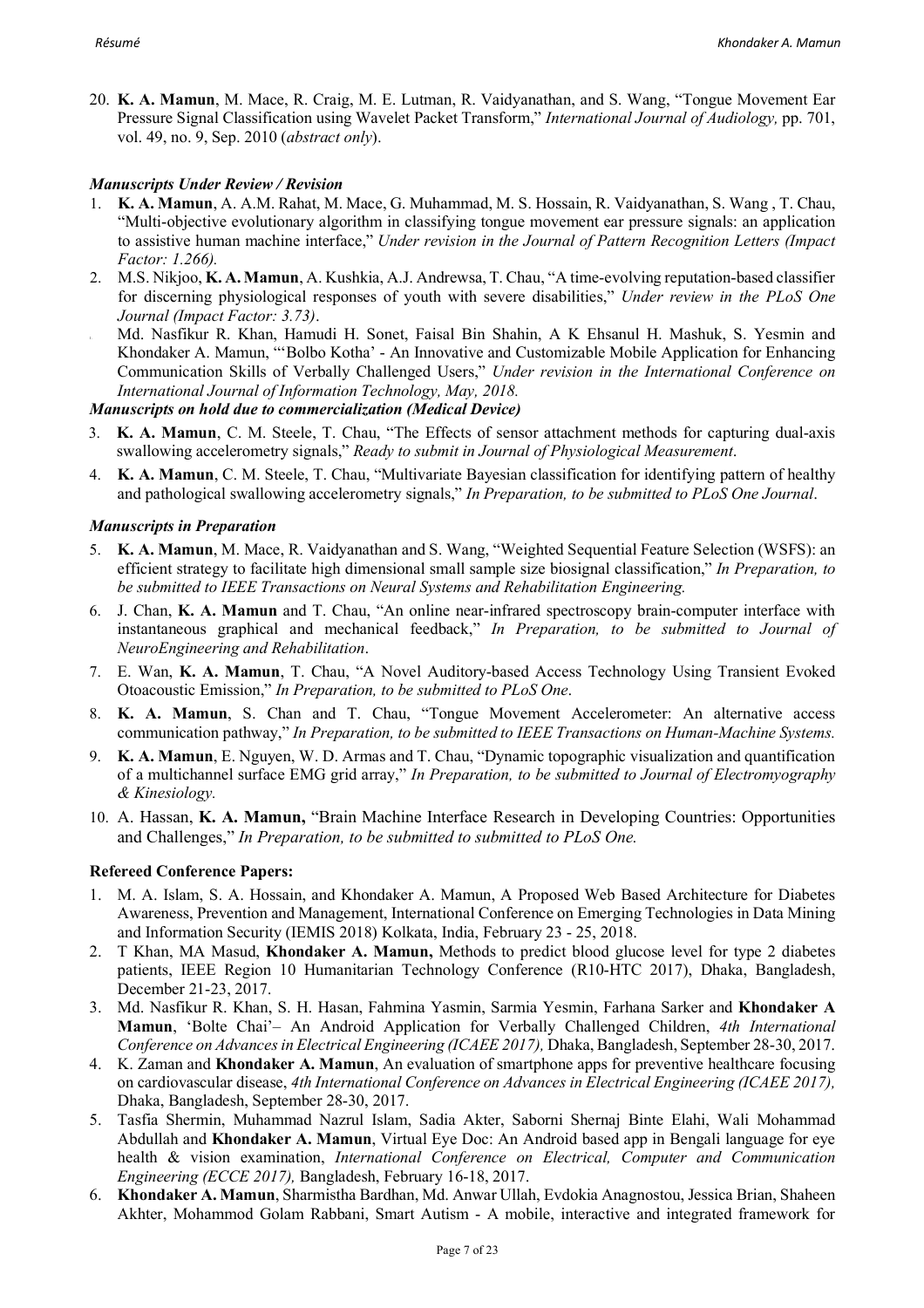20. **K. A. Mamun**, M. Mace, R. Craig, M. E. Lutman, R. Vaidyanathan, and S. Wang, "Tongue Movement Ear Pressure Signal Classification using Wavelet Packet Transform," *International Journal of Audiology,* pp. 701, vol. 49, no. 9, Sep. 2010 (*abstract only*).

## *Manuscripts Under Review / Revision*

- 1. **K. A. Mamun**, A. A.M. Rahat, M. Mace, G. Muhammad, M. S. Hossain, R. Vaidyanathan, S. Wang , T. Chau, "Multi-objective evolutionary algorithm in classifying tongue movement ear pressure signals: an application to assistive human machine interface," *Under revision in the Journal of Pattern Recognition Letters (Impact Factor: 1.266).*
- 2. M.S. Nikjoo, **K. A. Mamun**, A. Kushkia, A.J. Andrewsa, T. Chau, "A time-evolving reputation-based classifier for discerning physiological responses of youth with severe disabilities," *Under review in the PLoS One Journal (Impact Factor: 3.73)*.
- 1. Md. Nasfikur R. Khan, Hamudi H. Sonet, Faisal Bin Shahin, A K Ehsanul H. Mashuk, S. Yesmin and Khondaker A. Mamun, "'Bolbo Kotha' - An Innovative and Customizable Mobile Application for Enhancing Communication Skills of Verbally Challenged Users," *Under revision in the International Conference on International Journal of Information Technology, May, 2018.*

## *Manuscripts on hold due to commercialization (Medical Device)*

- 3. **K. A. Mamun**, C. M. Steele, T. Chau, "The Effects of sensor attachment methods for capturing dual-axis swallowing accelerometry signals," *Ready to submit in Journal of Physiological Measurement*.
- 4. **K. A. Mamun**, C. M. Steele, T. Chau, "Multivariate Bayesian classification for identifying pattern of healthy and pathological swallowing accelerometry signals," *In Preparation, to be submitted to PLoS One Journal*.

## *Manuscripts in Preparation*

- 5. **K. A. Mamun**, M. Mace, R. Vaidyanathan and S. Wang, "Weighted Sequential Feature Selection (WSFS): an efficient strategy to facilitate high dimensional small sample size biosignal classification," *In Preparation, to be submitted to IEEE Transactions on Neural Systems and Rehabilitation Engineering.*
- 6. J. Chan, **K. A. Mamun** and T. Chau, "An online near-infrared spectroscopy brain-computer interface with instantaneous graphical and mechanical feedback," *In Preparation, to be submitted to Journal of NeuroEngineering and Rehabilitation*.
- 7. E. Wan, **K. A. Mamun**, T. Chau, "A Novel Auditory-based Access Technology Using Transient Evoked Otoacoustic Emission," *In Preparation, to be submitted to PLoS One*.
- 8. **K. A. Mamun**, S. Chan and T. Chau, "Tongue Movement Accelerometer: An alternative access communication pathway," *In Preparation, to be submitted to IEEE Transactions on Human-Machine Systems.*
- 9. **K. A. Mamun**, E. Nguyen, W. D. Armas and T. Chau, "Dynamic topographic visualization and quantification of a multichannel surface EMG grid array," *In Preparation, to be submitted to Journal of Electromyography & Kinesiology.*
- 10. A. Hassan, **K. A. Mamun,** "Brain Machine Interface Research in Developing Countries: Opportunities and Challenges," *In Preparation, to be submitted to submitted to PLoS One.*

## **Refereed Conference Papers:**

- 1. M. A. Islam, S. A. Hossain, and Khondaker A. Mamun, A Proposed Web Based Architecture for Diabetes Awareness, Prevention and Management, International Conference on Emerging Technologies in Data Mining and Information Security (IEMIS 2018) Kolkata, India, February 23 - 25, 2018.
- 2. T Khan, MA Masud, **Khondaker A. Mamun,** Methods to predict blood glucose level for type 2 diabetes patients, IEEE Region 10 Humanitarian Technology Conference (R10-HTC 2017), Dhaka, Bangladesh, December 21-23, 2017.
- 3. Md. Nasfikur R. Khan, S. H. Hasan, Fahmina Yasmin, Sarmia Yesmin, Farhana Sarker and **Khondaker A Mamun**, 'Bolte Chai'– An Android Application for Verbally Challenged Children, *4th International Conference on Advances in Electrical Engineering (ICAEE 2017),* Dhaka, Bangladesh, September 28-30, 2017.
- 4. K. Zaman and **Khondaker A. Mamun**, An evaluation of smartphone apps for preventive healthcare focusing on cardiovascular disease, *4th International Conference on Advances in Electrical Engineering (ICAEE 2017),*  Dhaka, Bangladesh, September 28-30, 2017.
- 5. Tasfia Shermin, Muhammad Nazrul Islam, Sadia Akter, Saborni Shernaj Binte Elahi, Wali Mohammad Abdullah and **Khondaker A. Mamun**, Virtual Eye Doc: An Android based app in Bengali language for eye health & vision examination, *International Conference on Electrical, Computer and Communication Engineering (ECCE 2017),* Bangladesh, February 16-18, 2017.
- 6. **Khondaker A. Mamun**, Sharmistha Bardhan, Md. Anwar Ullah, Evdokia Anagnostou, Jessica Brian, Shaheen Akhter, Mohammod Golam Rabbani, Smart Autism - A mobile, interactive and integrated framework for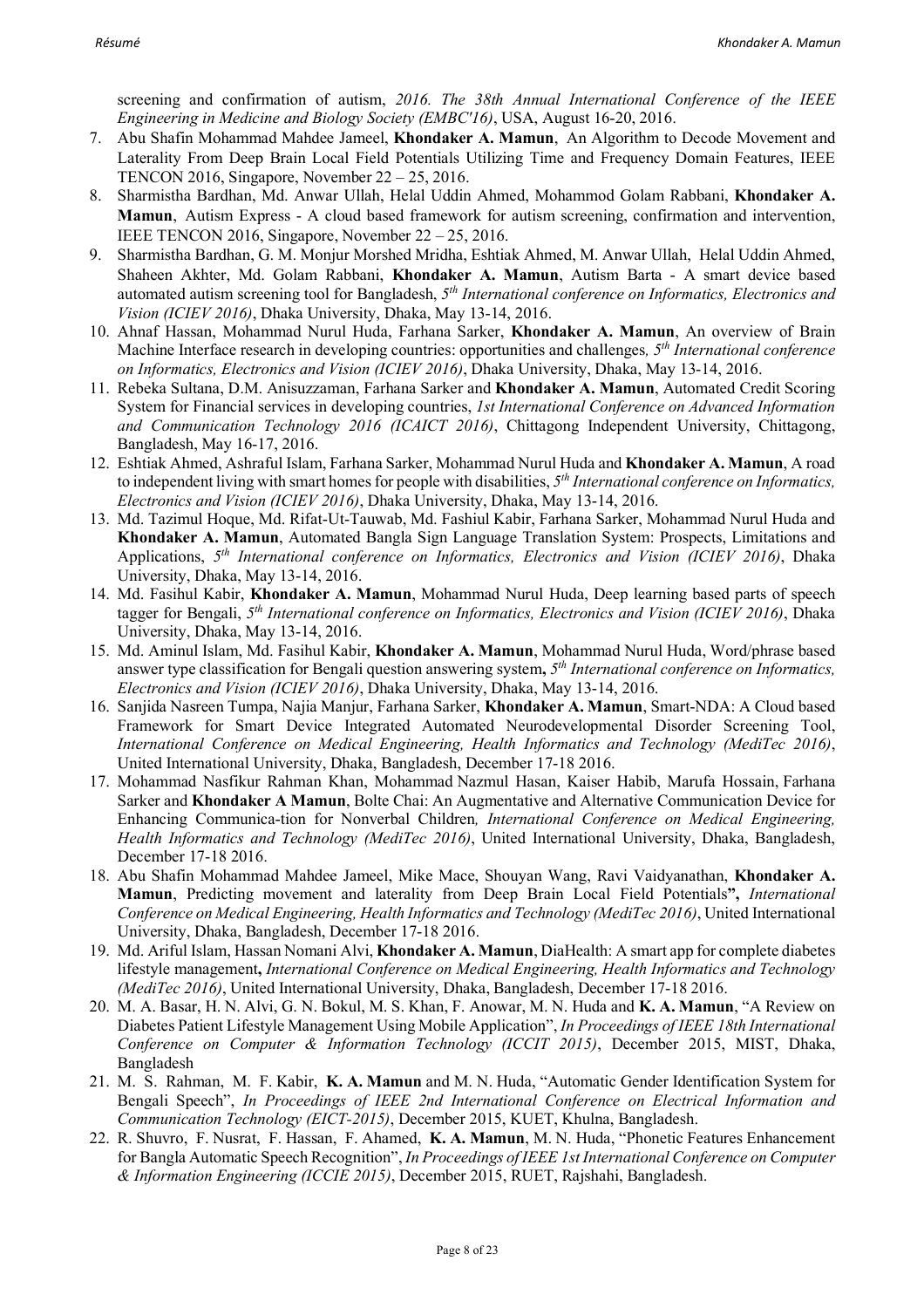screening and confirmation of autism, *2016. The 38th Annual International Conference of the IEEE Engineering in Medicine and Biology Society (EMBC'16)*, USA, August 16-20, 2016.

- 7. Abu Shafin Mohammad Mahdee Jameel, **Khondaker A. Mamun**, An Algorithm to Decode Movement and Laterality From Deep Brain Local Field Potentials Utilizing Time and Frequency Domain Features, IEEE TENCON 2016, Singapore, November 22 – 25, 2016.
- 8. Sharmistha Bardhan, Md. Anwar Ullah, Helal Uddin Ahmed, Mohammod Golam Rabbani, **Khondaker A. Mamun**, Autism Express - A cloud based framework for autism screening, confirmation and intervention, IEEE TENCON 2016, Singapore, November 22 – 25, 2016.
- 9. Sharmistha Bardhan, G. M. Monjur Morshed Mridha, Eshtiak Ahmed, M. Anwar Ullah, Helal Uddin Ahmed, Shaheen Akhter, Md. Golam Rabbani, **Khondaker A. Mamun**, Autism Barta - A smart device based automated autism screening tool for Bangladesh, *5th International conference on Informatics, Electronics and Vision (ICIEV 2016)*, Dhaka University, Dhaka, May 13-14, 2016.
- 10. Ahnaf Hassan, Mohammad Nurul Huda, Farhana Sarker, **Khondaker A. Mamun**, An overview of Brain Machine Interface research in developing countries: opportunities and challenges*, 5th International conference on Informatics, Electronics and Vision (ICIEV 2016)*, Dhaka University, Dhaka, May 13-14, 2016.
- 11. Rebeka Sultana, D.M. Anisuzzaman, Farhana Sarker and **Khondaker A. Mamun**, Automated Credit Scoring System for Financial services in developing countries, *1st International Conference on Advanced Information and Communication Technology 2016 (ICAICT 2016)*, Chittagong Independent University, Chittagong, Bangladesh, May 16-17, 2016.
- 12. Eshtiak Ahmed, Ashraful Islam, Farhana Sarker, Mohammad Nurul Huda and **Khondaker A. Mamun**, A road to independent living with smart homes for people with disabilities, *5th International conference on Informatics, Electronics and Vision (ICIEV 2016)*, Dhaka University, Dhaka, May 13-14, 2016.
- 13. Md. Tazimul Hoque, Md. Rifat-Ut-Tauwab, Md. Fashiul Kabir, Farhana Sarker, Mohammad Nurul Huda and **Khondaker A. Mamun**, Automated Bangla Sign Language Translation System: Prospects, Limitations and Applications, *5th International conference on Informatics, Electronics and Vision (ICIEV 2016)*, Dhaka University, Dhaka, May 13-14, 2016.
- 14. Md. Fasihul Kabir, **Khondaker A. Mamun**, Mohammad Nurul Huda, Deep learning based parts of speech tagger for Bengali, *5th International conference on Informatics, Electronics and Vision (ICIEV 2016)*, Dhaka University, Dhaka, May 13-14, 2016.
- 15. Md. Aminul Islam, Md. Fasihul Kabir, **Khondaker A. Mamun**, Mohammad Nurul Huda, Word/phrase based answer type classification for Bengali question answering system**,** *5th International conference on Informatics, Electronics and Vision (ICIEV 2016)*, Dhaka University, Dhaka, May 13-14, 2016.
- 16. Sanjida Nasreen Tumpa, Najia Manjur, Farhana Sarker, **Khondaker A. Mamun**, Smart-NDA: A Cloud based Framework for Smart Device Integrated Automated Neurodevelopmental Disorder Screening Tool, *International Conference on Medical Engineering, Health Informatics and Technology (MediTec 2016)*, United International University, Dhaka, Bangladesh, December 17-18 2016.
- 17. Mohammad Nasfikur Rahman Khan, Mohammad Nazmul Hasan, Kaiser Habib, Marufa Hossain, Farhana Sarker and **Khondaker A Mamun**, Bolte Chai: An Augmentative and Alternative Communication Device for Enhancing Communica-tion for Nonverbal Children*, International Conference on Medical Engineering, Health Informatics and Technology (MediTec 2016)*, United International University, Dhaka, Bangladesh, December 17-18 2016.
- 18. Abu Shafin Mohammad Mahdee Jameel, Mike Mace, Shouyan Wang, Ravi Vaidyanathan, **Khondaker A. Mamun**, Predicting movement and laterality from Deep Brain Local Field Potentials**",** *International Conference on Medical Engineering, Health Informatics and Technology (MediTec 2016)*, United International University, Dhaka, Bangladesh, December 17-18 2016.
- 19. Md. Ariful Islam, Hassan Nomani Alvi, **Khondaker A. Mamun**, DiaHealth: A smart app for complete diabetes lifestyle management**,** *International Conference on Medical Engineering, Health Informatics and Technology (MediTec 2016)*, United International University, Dhaka, Bangladesh, December 17-18 2016.
- 20. M. A. Basar, H. N. Alvi, G. N. Bokul, M. S. Khan, F. Anowar, M. N. Huda and **K. A. Mamun**, "A Review on Diabetes Patient Lifestyle Management Using Mobile Application", *In Proceedings of IEEE 18th International Conference on Computer & Information Technology (ICCIT 2015)*, December 2015, MIST, Dhaka, Bangladesh
- 21. M. S. Rahman, M. F. Kabir, **K. A. Mamun** and M. N. Huda, "Automatic Gender Identification System for Bengali Speech", *In Proceedings of IEEE 2nd International Conference on Electrical Information and Communication Technology (EICT-2015)*, December 2015, KUET, Khulna, Bangladesh.
- 22. R. Shuvro, F. Nusrat, F. Hassan, F. Ahamed, **K. A. Mamun**, M. N. Huda, "Phonetic Features Enhancement for Bangla Automatic Speech Recognition", *In Proceedings of IEEE 1st International Conference on Computer & Information Engineering (ICCIE 2015)*, December 2015, RUET, Rajshahi, Bangladesh.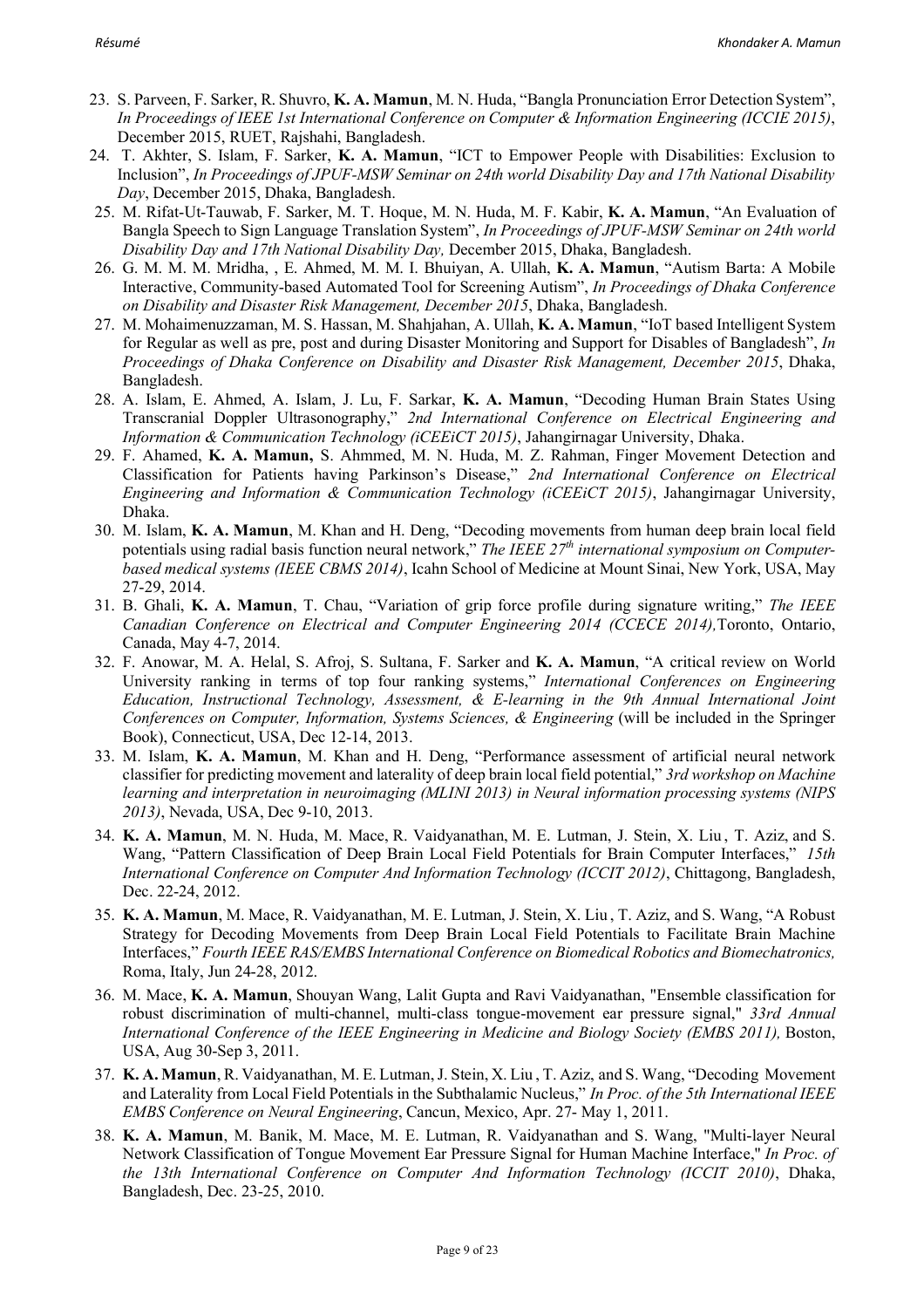- 23. S. Parveen, F. Sarker, R. Shuvro, **K. A. Mamun**, M. N. Huda, "Bangla Pronunciation Error Detection System", *In Proceedings of IEEE 1st International Conference on Computer & Information Engineering (ICCIE 2015)*, December 2015, RUET, Rajshahi, Bangladesh.
- 24. T. Akhter, S. Islam, F. Sarker, **K. A. Mamun**, "ICT to Empower People with Disabilities: Exclusion to Inclusion", *In Proceedings of JPUF-MSW Seminar on 24th world Disability Day and 17th National Disability Day*, December 2015, Dhaka, Bangladesh.
- 25. M. Rifat-Ut-Tauwab, F. Sarker, M. T. Hoque, M. N. Huda, M. F. Kabir, **K. A. Mamun**, "An Evaluation of Bangla Speech to Sign Language Translation System", *In Proceedings of JPUF-MSW Seminar on 24th world Disability Day and 17th National Disability Day,* December 2015, Dhaka, Bangladesh.
- 26. G. M. M. M. Mridha, , E. Ahmed, M. M. I. Bhuiyan, A. Ullah, **K. A. Mamun**, "Autism Barta: A Mobile Interactive, Community-based Automated Tool for Screening Autism", *In Proceedings of Dhaka Conference on Disability and Disaster Risk Management, December 2015*, Dhaka, Bangladesh.
- 27. M. Mohaimenuzzaman, M. S. Hassan, M. Shahjahan, A. Ullah, **K. A. Mamun**, "IoT based Intelligent System for Regular as well as pre, post and during Disaster Monitoring and Support for Disables of Bangladesh", *In Proceedings of Dhaka Conference on Disability and Disaster Risk Management, December 2015*, Dhaka, Bangladesh.
- 28. A. Islam, E. Ahmed, A. Islam, J. Lu, F. Sarkar, **K. A. Mamun**, "Decoding Human Brain States Using Transcranial Doppler Ultrasonography," *2nd International Conference on Electrical Engineering and Information & Communication Technology (iCEEiCT 2015)*, Jahangirnagar University, Dhaka.
- 29. F. Ahamed, **K. A. Mamun,** S. Ahmmed, M. N. Huda, M. Z. Rahman, Finger Movement Detection and Classification for Patients having Parkinson's Disease," *2nd International Conference on Electrical Engineering and Information & Communication Technology (iCEEiCT 2015)*, Jahangirnagar University, Dhaka.
- 30. M. Islam, **K. A. Mamun**, M. Khan and H. Deng, "Decoding movements from human deep brain local field potentials using radial basis function neural network," *The IEEE 27th international symposium on Computerbased medical systems (IEEE CBMS 2014)*, Icahn School of Medicine at Mount Sinai, New York, USA, May 27-29, 2014.
- 31. B. Ghali, **K. A. Mamun**, T. Chau, "Variation of grip force profile during signature writing," *The IEEE Canadian Conference on Electrical and Computer Engineering 2014 (CCECE 2014),*Toronto, Ontario, Canada, May 4-7, 2014.
- 32. F. Anowar, M. A. Helal, S. Afroj, S. Sultana, F. Sarker and **K. A. Mamun**, "A critical review on World University ranking in terms of top four ranking systems," *International Conferences on Engineering Education, Instructional Technology, Assessment, & E-learning in the 9th Annual International Joint Conferences on Computer, Information, Systems Sciences, & Engineering* (will be included in the Springer Book), Connecticut, USA, Dec 12-14, 2013.
- 33. M. Islam, **K. A. Mamun**, M. Khan and H. Deng, "Performance assessment of artificial neural network classifier for predicting movement and laterality of deep brain local field potential," *3rd workshop on Machine learning and interpretation in neuroimaging (MLINI 2013) in Neural information processing systems (NIPS 2013)*, Nevada, USA, Dec 9-10, 2013.
- 34. **K. A. Mamun**, M. N. Huda, M. Mace, R. Vaidyanathan, M. E. Lutman, J. Stein, X. Liu , T. Aziz, and S. Wang, "Pattern Classification of Deep Brain Local Field Potentials for Brain Computer Interfaces," *15th International Conference on Computer And Information Technology (ICCIT 2012)*, Chittagong, Bangladesh, Dec. 22-24, 2012.
- 35. **K. A. Mamun**, M. Mace, R. Vaidyanathan, M. E. Lutman, J. Stein, X. Liu , T. Aziz, and S. Wang, "A Robust Strategy for Decoding Movements from Deep Brain Local Field Potentials to Facilitate Brain Machine Interfaces," *Fourth IEEE RAS/EMBS International Conference on Biomedical Robotics and Biomechatronics,*  Roma, Italy, Jun 24-28, 2012.
- 36. M. Mace, **K. A. Mamun**, Shouyan Wang, Lalit Gupta and Ravi Vaidyanathan, "Ensemble classification for robust discrimination of multi-channel, multi-class tongue-movement ear pressure signal," *33rd Annual International Conference of the IEEE Engineering in Medicine and Biology Society (EMBS 2011),* Boston, USA, Aug 30-Sep 3, 2011.
- 37. **K. A. Mamun**, R. Vaidyanathan, M. E. Lutman, J. Stein, X. Liu , T. Aziz, and S. Wang, "Decoding Movement and Laterality from Local Field Potentials in the Subthalamic Nucleus," *In Proc. of the 5th International IEEE EMBS Conference on Neural Engineering*, Cancun, Mexico, Apr. 27- May 1, 2011.
- 38. **K. A. Mamun**, M. Banik, M. Mace, M. E. Lutman, R. Vaidyanathan and S. Wang, "Multi-layer Neural Network Classification of Tongue Movement Ear Pressure Signal for Human Machine Interface," *In Proc. of the 13th International Conference on Computer And Information Technology (ICCIT 2010)*, Dhaka, Bangladesh, Dec. 23-25, 2010.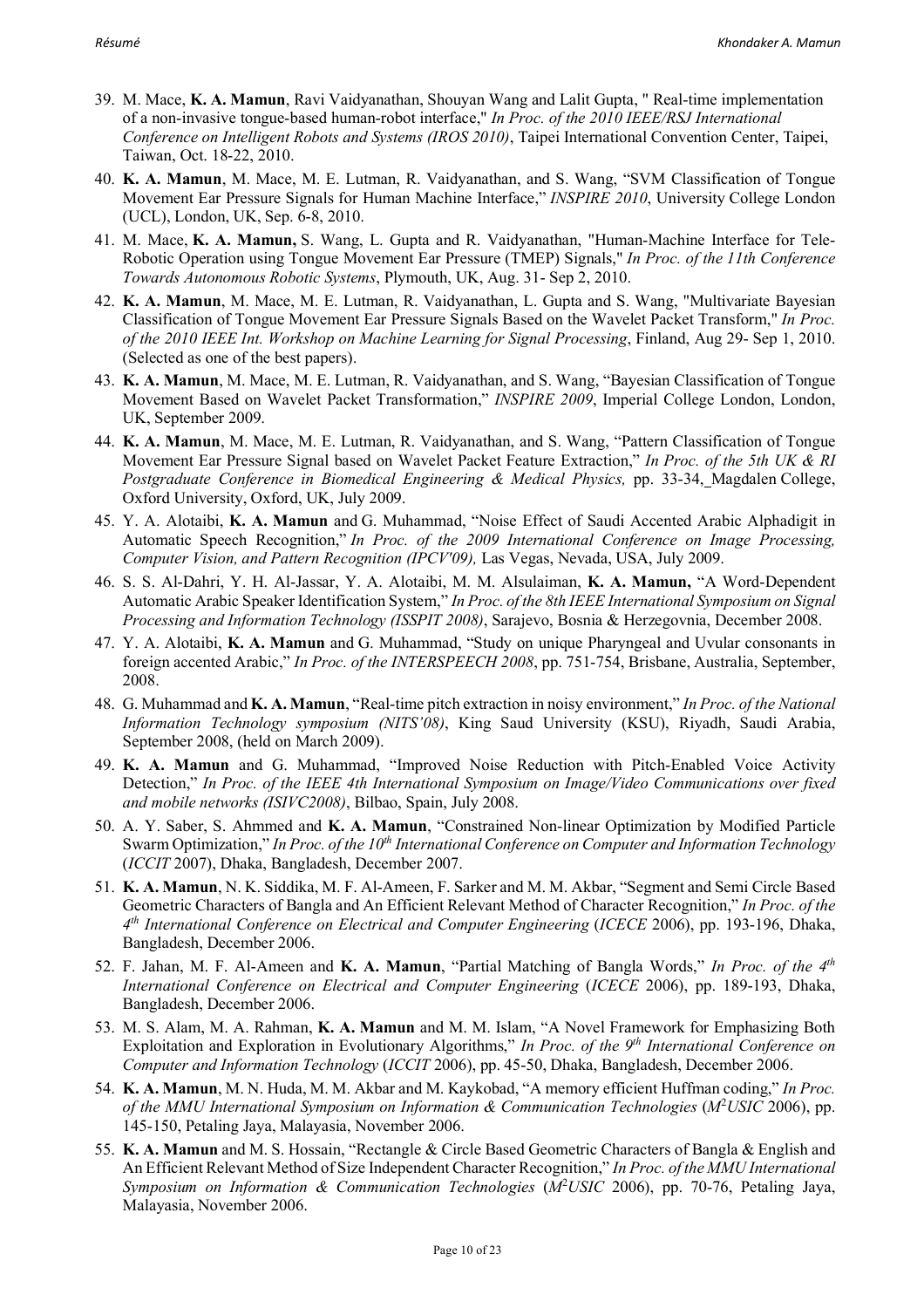- 39. M. Mace, **K. A. Mamun**, Ravi Vaidyanathan, Shouyan Wang and Lalit Gupta, " Real-time implementation of a non-invasive tongue-based human-robot interface," *In Proc. of the 2010 IEEE/RSJ International Conference on Intelligent Robots and Systems (IROS 2010)*, Taipei International Convention Center, Taipei, Taiwan, Oct. 18-22, 2010.
- 40. **K. A. Mamun**, M. Mace, M. E. Lutman, R. Vaidyanathan, and S. Wang, "SVM Classification of Tongue Movement Ear Pressure Signals for Human Machine Interface," *INSPIRE 2010*, University College London (UCL), London, UK, Sep. 6-8, 2010.
- 41. M. Mace, **K. A. Mamun,** S. Wang, L. Gupta and R. Vaidyanathan, "Human-Machine Interface for Tele-Robotic Operation using Tongue Movement Ear Pressure (TMEP) Signals," *In Proc. of the 11th Conference Towards Autonomous Robotic Systems*, Plymouth, UK, Aug. 31- Sep 2, 2010.
- 42. **K. A. Mamun**, M. Mace, M. E. Lutman, R. Vaidyanathan, L. Gupta and S. Wang, "Multivariate Bayesian Classification of Tongue Movement Ear Pressure Signals Based on the Wavelet Packet Transform," *In Proc. of the 2010 IEEE Int. Workshop on Machine Learning for Signal Processing*, Finland, Aug 29- Sep 1, 2010. (Selected as one of the best papers).
- 43. **K. A. Mamun**, M. Mace, M. E. Lutman, R. Vaidyanathan, and S. Wang, "Bayesian Classification of Tongue Movement Based on Wavelet Packet Transformation," *INSPIRE 2009*, Imperial College London, London, UK, September 2009.
- 44. **K. A. Mamun**, M. Mace, M. E. Lutman, R. Vaidyanathan, and S. Wang, "Pattern Classification of Tongue Movement Ear Pressure Signal based on Wavelet Packet Feature Extraction," *In Proc. of the 5th UK & RI Postgraduate Conference in Biomedical Engineering & Medical Physics,* pp. 33-34, Magdalen College, Oxford University, Oxford, UK, July 2009.
- 45. Y. A. Alotaibi, **K. A. Mamun** and G. Muhammad, "Noise Effect of Saudi Accented Arabic Alphadigit in Automatic Speech Recognition," *In Proc. of the 2009 International Conference on Image Processing, Computer Vision, and Pattern Recognition (IPCV'09),* Las Vegas, Nevada, USA, July 2009.
- 46. S. S. Al-Dahri, Y. H. Al-Jassar, Y. A. Alotaibi, M. M. Alsulaiman, **K. A. Mamun,** "A Word-Dependent Automatic Arabic Speaker Identification System," *In Proc. of the 8th IEEE International Symposium on Signal Processing and Information Technology (ISSPIT 2008)*, Sarajevo, Bosnia & Herzegovnia, December 2008.
- 47. Y. A. Alotaibi, **K. A. Mamun** and G. Muhammad, "Study on unique Pharyngeal and Uvular consonants in foreign accented Arabic," *In Proc. of the INTERSPEECH 2008*, pp. 751-754, Brisbane, Australia, September, 2008.
- 48. G. Muhammad and **K. A. Mamun**, "Real-time pitch extraction in noisy environment," *In Proc. of the National Information Technology symposium (NITS'08)*, King Saud University (KSU), Riyadh, Saudi Arabia, September 2008, (held on March 2009).
- 49. **K. A. Mamun** and G. Muhammad, "Improved Noise Reduction with Pitch-Enabled Voice Activity Detection," *In Proc. of the IEEE 4th International Symposium on Image/Video Communications over fixed and mobile networks (ISIVC2008)*, Bilbao, Spain, July 2008.
- 50. A. Y. Saber, S. Ahmmed and **K. A. Mamun**, "Constrained Non-linear Optimization by Modified Particle Swarm Optimization," *In Proc. of the 10<sup>th</sup> International Conference on Computer and Information Technology* (*ICCIT* 2007), Dhaka, Bangladesh, December 2007.
- 51. **K. A. Mamun**, N. K. Siddika, M. F. Al-Ameen, F. Sarker and M. M. Akbar, "Segment and Semi Circle Based Geometric Characters of Bangla and An Efficient Relevant Method of Character Recognition," *In Proc. of the 4th International Conference on Electrical and Computer Engineering* (*ICECE* 2006), pp. 193-196, Dhaka, Bangladesh, December 2006.
- 52. F. Jahan, M. F. Al-Ameen and **K. A. Mamun**, "Partial Matching of Bangla Words," *In Proc. of the 4th International Conference on Electrical and Computer Engineering (ICECE 2006), pp. 189-193, Dhaka,* Bangladesh, December 2006.
- 53. M. S. Alam, M. A. Rahman, **K. A. Mamun** and M. M. Islam, "A Novel Framework for Emphasizing Both Exploitation and Exploration in Evolutionary Algorithms," *In Proc. of the 9th International Conference on Computer and Information Technology* (*ICCIT* 2006), pp. 45-50, Dhaka, Bangladesh, December 2006.
- 54. **K. A. Mamun**, M. N. Huda, M. M. Akbar and M. Kaykobad, "A memory efficient Huffman coding," *In Proc. of the MMU International Symposium on Information & Communication Technologies* (*M*<sup>2</sup> *USIC* 2006), pp. 145-150, Petaling Jaya, Malayasia, November 2006.
- 55. **K. A. Mamun** and M. S. Hossain, "Rectangle & Circle Based Geometric Characters of Bangla & English and An Efficient Relevant Method of Size Independent Character Recognition," *In Proc. of the MMU International Symposium on Information & Communication Technologies* (*M*<sup>2</sup> *USIC* 2006), pp. 70-76, Petaling Jaya, Malayasia, November 2006.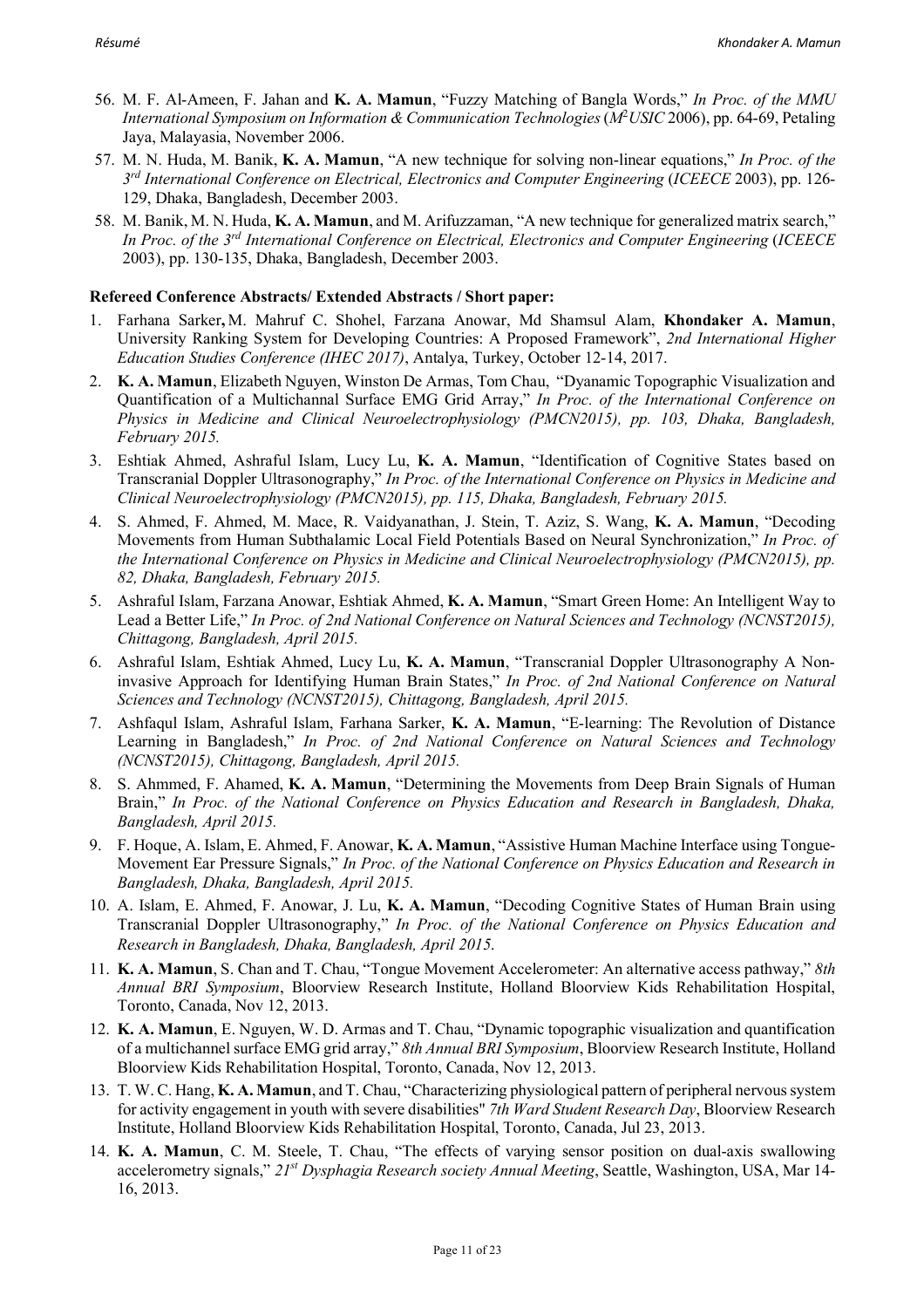- 56. M. F. Al-Ameen, F. Jahan and **K. A. Mamun**, "Fuzzy Matching of Bangla Words," *In Proc. of the MMU International Symposium on Information & Communication Technologies*(*M*<sup>2</sup> *USIC* 2006), pp. 64-69, Petaling Jaya, Malayasia, November 2006.
- 57. M. N. Huda, M. Banik, **K. A. Mamun**, "A new technique for solving non-linear equations," *In Proc. of the 3rd International Conference on Electrical, Electronics and Computer Engineering* (*ICEECE* 2003), pp. 126- 129, Dhaka, Bangladesh, December 2003.
- 58. M. Banik, M. N. Huda, **K. A. Mamun**, and M. Arifuzzaman, "A new technique for generalized matrix search," *In Proc. of the 3rd International Conference on Electrical, Electronics and Computer Engineering* (*ICEECE* 2003), pp. 130-135, Dhaka, Bangladesh, December 2003.

#### **Refereed Conference Abstracts/ Extended Abstracts / Short paper:**

- 1. Farhana Sarker**,** M. Mahruf C. Shohel, Farzana Anowar, Md Shamsul Alam, **Khondaker A. Mamun**, University Ranking System for Developing Countries: A Proposed Framework", *2nd International Higher Education Studies Conference (IHEC 2017)*, Antalya, Turkey, October 12-14, 2017.
- 2. **K. A. Mamun**, Elizabeth Nguyen, Winston De Armas, Tom Chau, "Dyanamic Topographic Visualization and Quantification of a Multichannal Surface EMG Grid Array," *In Proc. of the International Conference on Physics in Medicine and Clinical Neuroelectrophysiology (PMCN2015), pp. 103, Dhaka, Bangladesh, February 2015.*
- 3. Eshtiak Ahmed, Ashraful Islam, Lucy Lu, **K. A. Mamun**, "Identification of Cognitive States based on Transcranial Doppler Ultrasonography," *In Proc. of the International Conference on Physics in Medicine and Clinical Neuroelectrophysiology (PMCN2015), pp. 115, Dhaka, Bangladesh, February 2015.*
- 4. S. Ahmed, F. Ahmed, M. Mace, R. Vaidyanathan, J. Stein, T. Aziz, S. Wang, **K. A. Mamun**, "Decoding Movements from Human Subthalamic Local Field Potentials Based on Neural Synchronization," *In Proc. of the International Conference on Physics in Medicine and Clinical Neuroelectrophysiology (PMCN2015), pp. 82, Dhaka, Bangladesh, February 2015.*
- 5. Ashraful Islam, Farzana Anowar, Eshtiak Ahmed, **K. A. Mamun**, "Smart Green Home: An Intelligent Way to Lead a Better Life," *In Proc. of 2nd National Conference on Natural Sciences and Technology (NCNST2015), Chittagong, Bangladesh, April 2015.*
- 6. Ashraful Islam, Eshtiak Ahmed, Lucy Lu, **K. A. Mamun**, "Transcranial Doppler Ultrasonography A Noninvasive Approach for Identifying Human Brain States," *In Proc. of 2nd National Conference on Natural Sciences and Technology (NCNST2015), Chittagong, Bangladesh, April 2015.*
- 7. Ashfaqul Islam, Ashraful Islam, Farhana Sarker, **K. A. Mamun**, "E-learning: The Revolution of Distance Learning in Bangladesh," *In Proc. of 2nd National Conference on Natural Sciences and Technology (NCNST2015), Chittagong, Bangladesh, April 2015.*
- 8. S. Ahmmed, F. Ahamed, **K. A. Mamun**, "Determining the Movements from Deep Brain Signals of Human Brain," *In Proc. of the National Conference on Physics Education and Research in Bangladesh, Dhaka, Bangladesh, April 2015.*
- 9. F. Hoque, A. Islam, E. Ahmed, F. Anowar, **K. A. Mamun**, "Assistive Human Machine Interface using Tongue-Movement Ear Pressure Signals," *In Proc. of the National Conference on Physics Education and Research in Bangladesh, Dhaka, Bangladesh, April 2015.*
- 10. A. Islam, E. Ahmed, F. Anowar, J. Lu, **K. A. Mamun**, "Decoding Cognitive States of Human Brain using Transcranial Doppler Ultrasonography," *In Proc. of the National Conference on Physics Education and Research in Bangladesh, Dhaka, Bangladesh, April 2015.*
- 11. **K. A. Mamun**, S. Chan and T. Chau, "Tongue Movement Accelerometer: An alternative access pathway," *8th Annual BRI Symposium*, Bloorview Research Institute, Holland Bloorview Kids Rehabilitation Hospital, Toronto, Canada, Nov 12, 2013.
- 12. **K. A. Mamun**, E. Nguyen, W. D. Armas and T. Chau, "Dynamic topographic visualization and quantification of a multichannel surface EMG grid array," *8th Annual BRI Symposium*, Bloorview Research Institute, Holland Bloorview Kids Rehabilitation Hospital, Toronto, Canada, Nov 12, 2013.
- 13. T. W. C. Hang, **K. A. Mamun**, and T. Chau, "Characterizing physiological pattern of peripheral nervous system for activity engagement in youth with severe disabilities" *7th Ward Student Research Day*, Bloorview Research Institute, Holland Bloorview Kids Rehabilitation Hospital, Toronto, Canada, Jul 23, 2013.
- 14. **K. A. Mamun**, C. M. Steele, T. Chau, "The effects of varying sensor position on dual-axis swallowing accelerometry signals," *21st Dysphagia Research society Annual Meeting*, Seattle, Washington, USA, Mar 14- 16, 2013.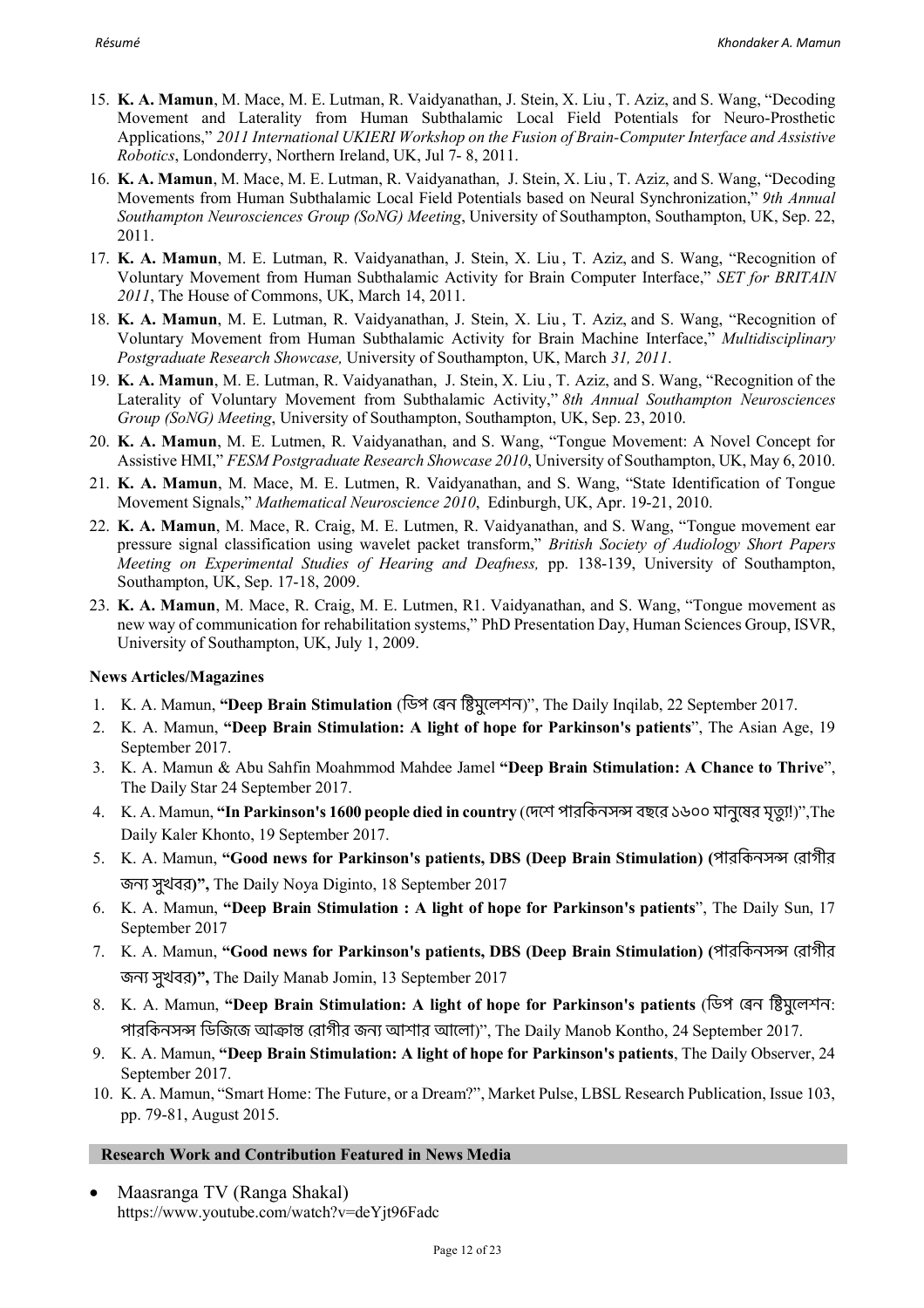- 15. **K. A. Mamun**, M. Mace, M. E. Lutman, R. Vaidyanathan, J. Stein, X. Liu , T. Aziz, and S. Wang, "Decoding Movement and Laterality from Human Subthalamic Local Field Potentials for Neuro-Prosthetic Applications," *2011 International UKIERI Workshop on the Fusion of Brain-Computer Interface and Assistive Robotics*, Londonderry, Northern Ireland, UK, Jul 7- 8, 2011.
- 16. **K. A. Mamun**, M. Mace, M. E. Lutman, R. Vaidyanathan, J. Stein, X. Liu , T. Aziz, and S. Wang, "Decoding Movements from Human Subthalamic Local Field Potentials based on Neural Synchronization," *9th Annual Southampton Neurosciences Group (SoNG) Meeting*, University of Southampton, Southampton, UK, Sep. 22, 2011.
- 17. **K. A. Mamun**, M. E. Lutman, R. Vaidyanathan, J. Stein, X. Liu , T. Aziz, and S. Wang, "Recognition of Voluntary Movement from Human Subthalamic Activity for Brain Computer Interface," *SET for BRITAIN 2011*, The House of Commons, UK, March 14, 2011.
- 18. **K. A. Mamun**, M. E. Lutman, R. Vaidyanathan, J. Stein, X. Liu , T. Aziz, and S. Wang, "Recognition of Voluntary Movement from Human Subthalamic Activity for Brain Machine Interface," *Multidisciplinary Postgraduate Research Showcase,* University of Southampton, UK, March *31, 2011*.
- 19. **K. A. Mamun**, M. E. Lutman, R. Vaidyanathan, J. Stein, X. Liu , T. Aziz, and S. Wang, "Recognition of the Laterality of Voluntary Movement from Subthalamic Activity," *8th Annual Southampton Neurosciences Group (SoNG) Meeting*, University of Southampton, Southampton, UK, Sep. 23, 2010.
- 20. **K. A. Mamun**, M. E. Lutmen, R. Vaidyanathan, and S. Wang, "Tongue Movement: A Novel Concept for Assistive HMI," *FESM Postgraduate Research Showcase 2010*, University of Southampton, UK, May 6, 2010.
- 21. **K. A. Mamun**, M. Mace, M. E. Lutmen, R. Vaidyanathan, and S. Wang, "State Identification of Tongue Movement Signals," *Mathematical Neuroscience 2010*, Edinburgh, UK, Apr. 19-21, 2010.
- 22. **K. A. Mamun**, M. Mace, R. Craig, M. E. Lutmen, R. Vaidyanathan, and S. Wang, "Tongue movement ear pressure signal classification using wavelet packet transform," *British Society of Audiology Short Papers Meeting on Experimental Studies of Hearing and Deafness,* pp. 138-139, University of Southampton, Southampton, UK, Sep. 17-18, 2009.
- 23. **K. A. Mamun**, M. Mace, R. Craig, M. E. Lutmen, R1. Vaidyanathan, and S. Wang, "Tongue movement as new way of communication for rehabilitation systems," PhD Presentation Day, Human Sciences Group, ISVR, University of Southampton, UK, July 1, 2009.

## **News Articles/Magazines**

- 1. K. A. Mamun, "Deep Brain Stimulation (ডিপ রেন ষ্টিমুলেশন)", The Daily Inqilab, 22 September 2017.
- 2. K. A. Mamun, **"Deep Brain Stimulation: A light of hope for Parkinson's patients**", The Asian Age, 19 September 2017.
- 3. K. A. Mamun & Abu Sahfin Moahmmod Mahdee Jamel **"Deep Brain Stimulation: A Chance to Thrive**", The Daily Star 24 September 2017.
- 4. K. A. Mamun, "In Parkinson's 1600 people died in country (দেশে পারকিনসন্স বছরে ১৬০০ মানুষের মৃত্যু!)",The Daily Kaler Khonto, 19 September 2017.
- 5. K. A. Mamun, "Good news for Parkinson's patients, DBS (Deep Brain Stimulation) (পারকিনসন্স রোগীর জন< সুখবর**)",** The Daily Noya Diginto, 18 September 2017
- 6. K. A. Mamun, **"Deep Brain Stimulation : A light of hope for Parkinson's patients**", The Daily Sun, 17 September 2017
- 7. K. A. Mamun, **"Good news for Parkinson's patients, DBS (Deep Brain Stimulation) (পারকিনসন্স রোগীর** জন< সুখবর**)",** The Daily Manab Jomin, 13 September 2017
- 8. K. A. Mamun, "Deep Brain Stimulation: A light of hope for Parkinson's patients (ডিপ রেন ষ্টিমুলেশন: পারকিনসন্স ডিজিজে আক্রান্ত রোগীর জন্য আশার আলো)", The Daily Manob Kontho, 24 September 2017.
- 9. K. A. Mamun, **"Deep Brain Stimulation: A light of hope for Parkinson's patients**, The Daily Observer, 24 September 2017.
- 10. K. A. Mamun, "Smart Home: The Future, or a Dream?", Market Pulse, LBSL Research Publication, Issue 103, pp. 79-81, August 2015.

## **Research Work and Contribution Featured in News Media**

• Maasranga TV (Ranga Shakal) https://www.youtube.com/watch?v=deYjt96Fadc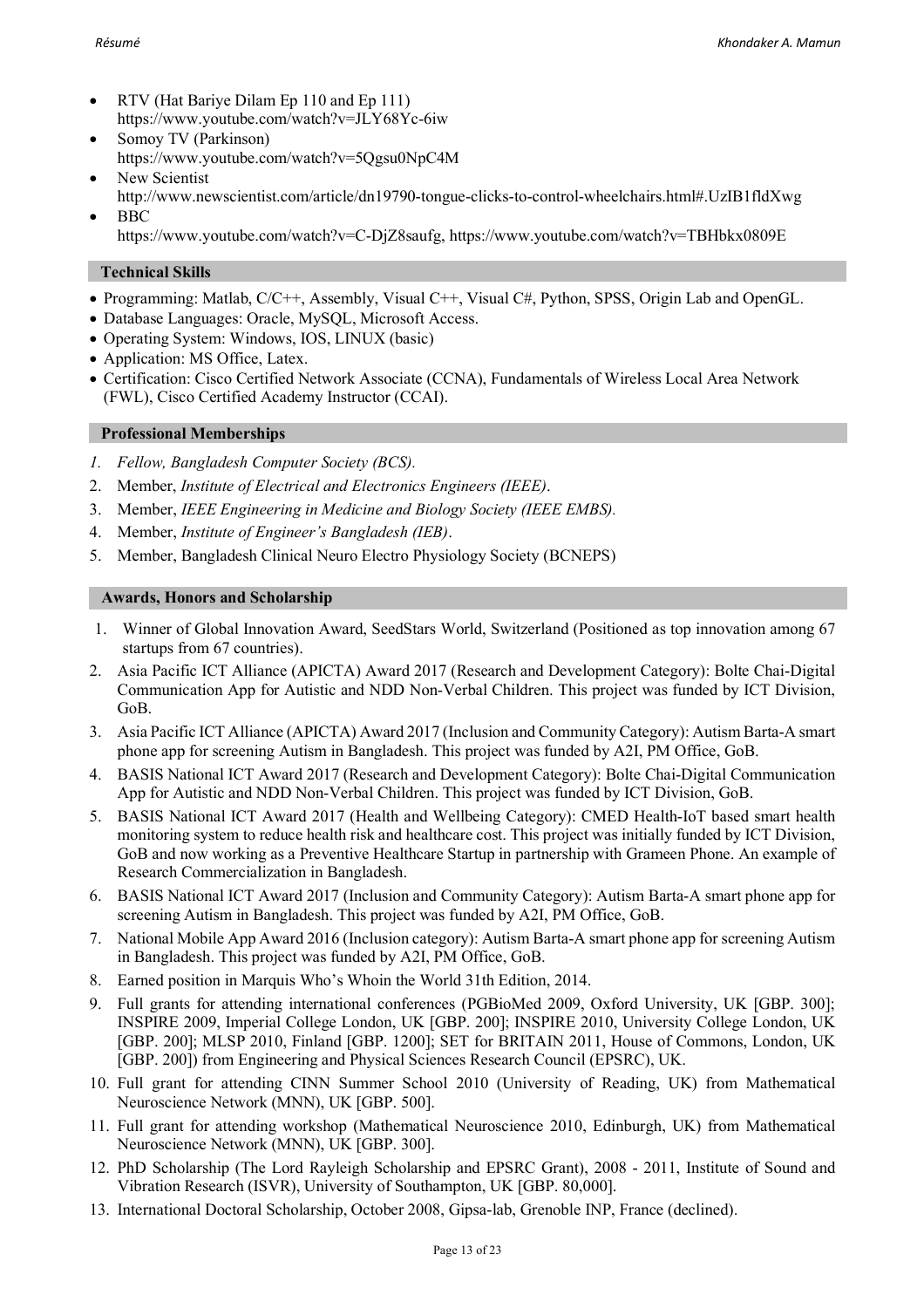- RTV (Hat Bariye Dilam Ep 110 and Ep 111) https://www.youtube.com/watch?v=JLY68Yc-6iw
- Somoy TV (Parkinson) https://www.youtube.com/watch?v=5Qgsu0NpC4M
- New Scientist http://www.newscientist.com/article/dn19790-tongue-clicks-to-control-wheelchairs.html#.UzIB1fldXwg • BBC
	- https://www.youtube.com/watch?v=C-DjZ8saufg, https://www.youtube.com/watch?v=TBHbkx0809E

## **Technical Skills**

- Programming: Matlab, C/C++, Assembly, Visual C++, Visual C#, Python, SPSS, Origin Lab and OpenGL.
- Database Languages: Oracle, MySQL, Microsoft Access.
- Operating System: Windows, IOS, LINUX (basic)
- Application: MS Office, Latex.
- Certification: Cisco Certified Network Associate (CCNA), Fundamentals of Wireless Local Area Network (FWL), Cisco Certified Academy Instructor (CCAI).

## **Professional Memberships**

- *1. Fellow, Bangladesh Computer Society (BCS).*
- 2. Member, *Institute of Electrical and Electronics Engineers (IEEE)*.
- 3. Member, *IEEE Engineering in Medicine and Biology Society (IEEE EMBS).*
- 4. Member, *Institute of Engineer's Bangladesh (IEB)*.
- 5. Member, Bangladesh Clinical Neuro Electro Physiology Society (BCNEPS)

## **Awards, Honors and Scholarship**

- 1. Winner of Global Innovation Award, SeedStars World, Switzerland (Positioned as top innovation among 67 startups from 67 countries).
- 2. Asia Pacific ICT Alliance (APICTA) Award 2017 (Research and Development Category): Bolte Chai-Digital Communication App for Autistic and NDD Non-Verbal Children. This project was funded by ICT Division, GoB.
- 3. Asia Pacific ICT Alliance (APICTA) Award 2017 (Inclusion and Community Category): Autism Barta-A smart phone app for screening Autism in Bangladesh. This project was funded by A2I, PM Office, GoB.
- 4. BASIS National ICT Award 2017 (Research and Development Category): Bolte Chai-Digital Communication App for Autistic and NDD Non-Verbal Children. This project was funded by ICT Division, GoB.
- 5. BASIS National ICT Award 2017 (Health and Wellbeing Category): CMED Health-IoT based smart health monitoring system to reduce health risk and healthcare cost. This project was initially funded by ICT Division, GoB and now working as a Preventive Healthcare Startup in partnership with Grameen Phone. An example of Research Commercialization in Bangladesh.
- 6. BASIS National ICT Award 2017 (Inclusion and Community Category): Autism Barta-A smart phone app for screening Autism in Bangladesh. This project was funded by A2I, PM Office, GoB.
- 7. National Mobile App Award 2016 (Inclusion category): Autism Barta-A smart phone app for screening Autism in Bangladesh. This project was funded by A2I, PM Office, GoB.
- 8. Earned position in Marquis Who's Whoin the World 31th Edition, 2014.
- 9. Full grants for attending international conferences (PGBioMed 2009, Oxford University, UK [GBP. 300]; INSPIRE 2009, Imperial College London, UK [GBP. 200]; INSPIRE 2010, University College London, UK [GBP. 200]; MLSP 2010, Finland [GBP. 1200]; SET for BRITAIN 2011, House of Commons, London, UK [GBP. 200]) from Engineering and Physical Sciences Research Council (EPSRC), UK.
- 10. Full grant for attending CINN Summer School 2010 (University of Reading, UK) from Mathematical Neuroscience Network (MNN), UK [GBP. 500].
- 11. Full grant for attending workshop (Mathematical Neuroscience 2010, Edinburgh, UK) from Mathematical Neuroscience Network (MNN), UK [GBP. 300].
- 12. PhD Scholarship (The Lord Rayleigh Scholarship and EPSRC Grant), 2008 2011, Institute of Sound and Vibration Research (ISVR), University of Southampton, UK [GBP. 80,000].
- 13. International Doctoral Scholarship, October 2008, Gipsa-lab, Grenoble INP, France (declined).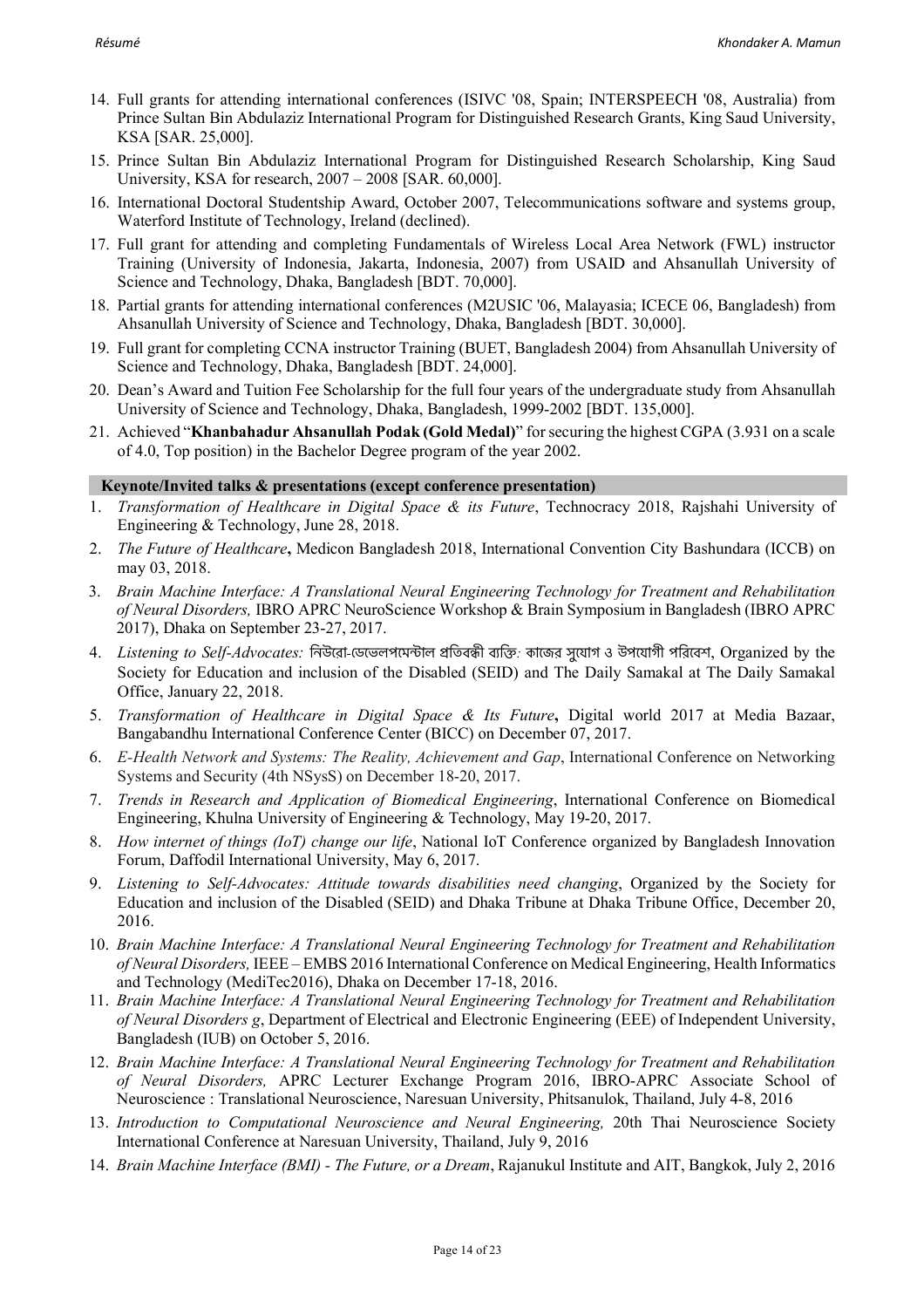- 14. Full grants for attending international conferences (ISIVC '08, Spain; INTERSPEECH '08, Australia) from Prince Sultan Bin Abdulaziz International Program for Distinguished Research Grants, King Saud University, KSA [SAR. 25,000].
- 15. Prince Sultan Bin Abdulaziz International Program for Distinguished Research Scholarship, King Saud University, KSA for research, 2007 – 2008 [SAR. 60,000].
- 16. International Doctoral Studentship Award, October 2007, Telecommunications software and systems group, Waterford Institute of Technology, Ireland (declined).
- 17. Full grant for attending and completing Fundamentals of Wireless Local Area Network (FWL) instructor Training (University of Indonesia, Jakarta, Indonesia, 2007) from USAID and Ahsanullah University of Science and Technology, Dhaka, Bangladesh [BDT. 70,000].
- 18. Partial grants for attending international conferences (M2USIC '06, Malayasia; ICECE 06, Bangladesh) from Ahsanullah University of Science and Technology, Dhaka, Bangladesh [BDT. 30,000].
- 19. Full grant for completing CCNA instructor Training (BUET, Bangladesh 2004) from Ahsanullah University of Science and Technology, Dhaka, Bangladesh [BDT. 24,000].
- 20. Dean's Award and Tuition Fee Scholarship for the full four years of the undergraduate study from Ahsanullah University of Science and Technology, Dhaka, Bangladesh, 1999-2002 [BDT. 135,000].
- 21. Achieved "**Khanbahadur Ahsanullah Podak (Gold Medal)**" for securing the highest CGPA (3.931 on a scale of 4.0, Top position) in the Bachelor Degree program of the year 2002.

## **Keynote/Invited talks & presentations (except conference presentation)**

- 1. *Transformation of Healthcare in Digital Space & its Future*, Technocracy 2018, Rajshahi University of Engineering & Technology, June 28, 2018.
- 2. *The Future of Healthcare***,** Medicon Bangladesh 2018, International Convention City Bashundara (ICCB) on may 03, 2018.
- 3. *Brain Machine Interface: A Translational Neural Engineering Technology for Treatment and Rehabilitation of Neural Disorders,* IBRO APRC NeuroScience Workshop & Brain Symposium in Bangladesh (IBRO APRC 2017), Dhaka on September 23-27, 2017.
- 4. *Listening to Self-Advocates:* িনউেরা*-*\$ডেভলপেমFাল GিতবHী ব<িI*:* কােজর সুেযাগ ও উপেযাগী পিরেবশ, Organized by the Society for Education and inclusion of the Disabled (SEID) and The Daily Samakal at The Daily Samakal Office, January 22, 2018.
- 5. *Transformation of Healthcare in Digital Space & Its Future***,** Digital world 2017 at Media Bazaar, Bangabandhu International Conference Center (BICC) on December 07, 2017.
- 6. *E-Health Network and Systems: The Reality, Achievement and Gap*, International Conference on Networking Systems and Security (4th NSysS) on December 18-20, 2017.
- 7. *Trends in Research and Application of Biomedical Engineering*, International Conference on Biomedical Engineering, Khulna University of Engineering & Technology, May 19-20, 2017.
- 8. *How internet of things (IoT) change our life*, National IoT Conference organized by Bangladesh Innovation Forum, Daffodil International University, May 6, 2017.
- 9. *Listening to Self-Advocates: Attitude towards disabilities need changing*, Organized by the Society for Education and inclusion of the Disabled (SEID) and Dhaka Tribune at Dhaka Tribune Office, December 20, 2016.
- 10. *Brain Machine Interface: A Translational Neural Engineering Technology for Treatment and Rehabilitation of Neural Disorders,* IEEE – EMBS 2016 International Conference on Medical Engineering, Health Informatics and Technology (MediTec2016), Dhaka on December 17-18, 2016.
- 11. *Brain Machine Interface: A Translational Neural Engineering Technology for Treatment and Rehabilitation of Neural Disorders g*, Department of Electrical and Electronic Engineering (EEE) of Independent University, Bangladesh (IUB) on October 5, 2016.
- 12. *Brain Machine Interface: A Translational Neural Engineering Technology for Treatment and Rehabilitation of Neural Disorders,* APRC Lecturer Exchange Program 2016, IBRO-APRC Associate School of Neuroscience : Translational Neuroscience, Naresuan University, Phitsanulok, Thailand, July 4-8, 2016
- 13. *Introduction to Computational Neuroscience and Neural Engineering,* 20th Thai Neuroscience Society International Conference at Naresuan University, Thailand, July 9, 2016
- 14. *Brain Machine Interface (BMI) - The Future, or a Dream*, Rajanukul Institute and AIT, Bangkok, July 2, 2016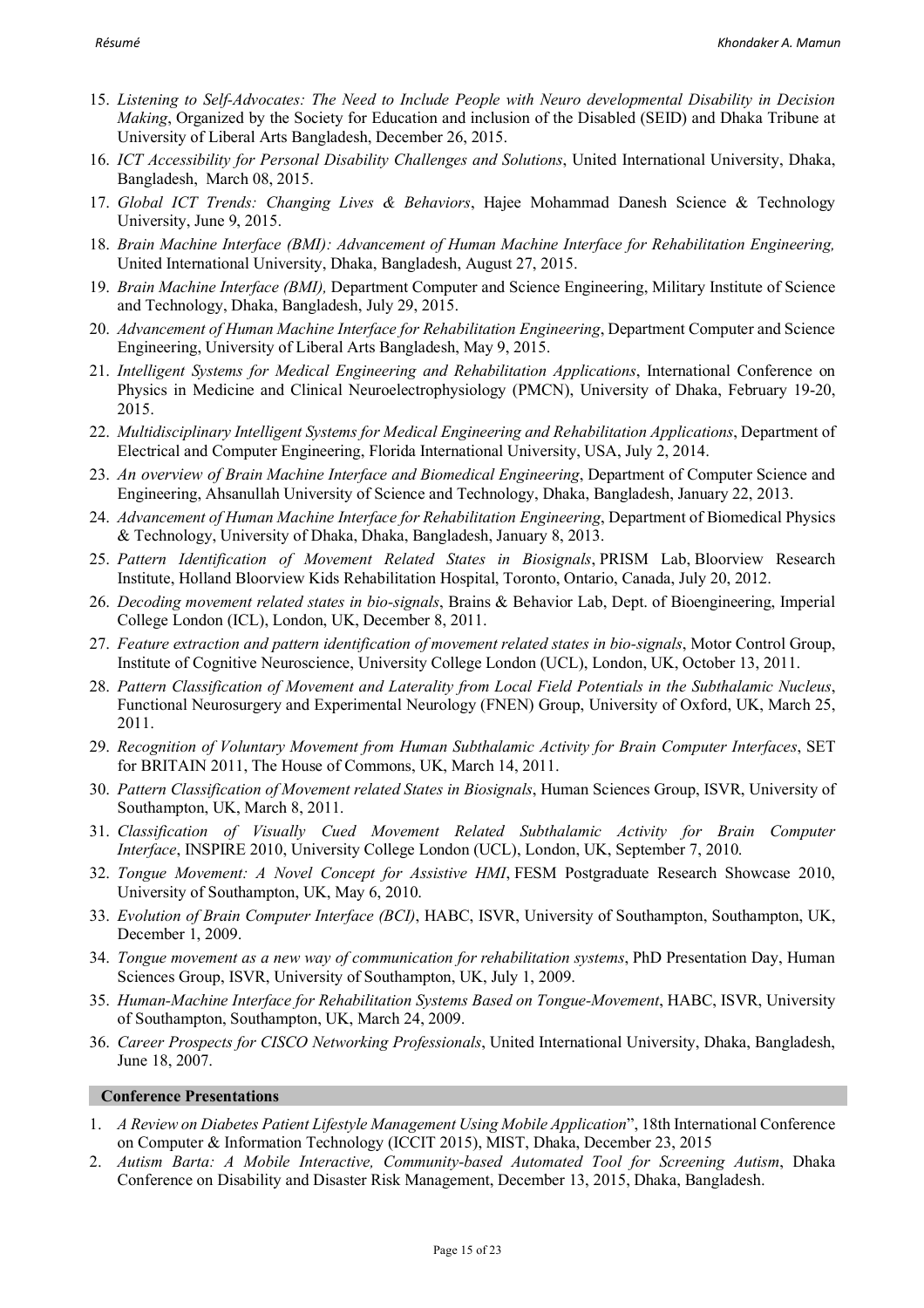- 15. *Listening to Self-Advocates: The Need to Include People with Neuro developmental Disability in Decision Making*, Organized by the Society for Education and inclusion of the Disabled (SEID) and Dhaka Tribune at University of Liberal Arts Bangladesh, December 26, 2015.
- 16. *ICT Accessibility for Personal Disability Challenges and Solutions*, United International University, Dhaka, Bangladesh, March 08, 2015.
- 17. *Global ICT Trends: Changing Lives & Behaviors*, Hajee Mohammad Danesh Science & Technology University, June 9, 2015.
- 18. *Brain Machine Interface (BMI): Advancement of Human Machine Interface for Rehabilitation Engineering,* United International University, Dhaka, Bangladesh, August 27, 2015.
- 19. *Brain Machine Interface (BMI),* Department Computer and Science Engineering, Military Institute of Science and Technology, Dhaka, Bangladesh, July 29, 2015.
- 20. *Advancement of Human Machine Interface for Rehabilitation Engineering*, Department Computer and Science Engineering, University of Liberal Arts Bangladesh, May 9, 2015.
- 21. *Intelligent Systems for Medical Engineering and Rehabilitation Applications*, International Conference on Physics in Medicine and Clinical Neuroelectrophysiology (PMCN), University of Dhaka, February 19-20, 2015.
- 22. *Multidisciplinary Intelligent Systems for Medical Engineering and Rehabilitation Applications*, Department of Electrical and Computer Engineering, Florida International University, USA, July 2, 2014.
- 23. *An overview of Brain Machine Interface and Biomedical Engineering*, Department of Computer Science and Engineering, Ahsanullah University of Science and Technology, Dhaka, Bangladesh, January 22, 2013.
- 24. *Advancement of Human Machine Interface for Rehabilitation Engineering*, Department of Biomedical Physics & Technology, University of Dhaka, Dhaka, Bangladesh, January 8, 2013.
- 25. *Pattern Identification of Movement Related States in Biosignals*, PRISM Lab, Bloorview Research Institute, Holland Bloorview Kids Rehabilitation Hospital, Toronto, Ontario, Canada, July 20, 2012.
- 26. *Decoding movement related states in bio-signals*, Brains & Behavior Lab, Dept. of Bioengineering, Imperial College London (ICL), London, UK, December 8, 2011.
- 27. *Feature extraction and pattern identification of movement related states in bio-signals*, Motor Control Group, Institute of Cognitive Neuroscience, University College London (UCL), London, UK, October 13, 2011.
- 28. *Pattern Classification of Movement and Laterality from Local Field Potentials in the Subthalamic Nucleus*, Functional Neurosurgery and Experimental Neurology (FNEN) Group, University of Oxford, UK, March 25, 2011.
- 29. *Recognition of Voluntary Movement from Human Subthalamic Activity for Brain Computer Interfaces*, SET for BRITAIN 2011, The House of Commons, UK, March 14, 2011.
- 30. *Pattern Classification of Movement related States in Biosignals*, Human Sciences Group, ISVR, University of Southampton, UK, March 8, 2011.
- 31. *Classification of Visually Cued Movement Related Subthalamic Activity for Brain Computer Interface*, INSPIRE 2010, University College London (UCL), London, UK, September 7, 2010.
- 32. *Tongue Movement: A Novel Concept for Assistive HMI*, FESM Postgraduate Research Showcase 2010, University of Southampton, UK, May 6, 2010.
- 33. *Evolution of Brain Computer Interface (BCI)*, HABC, ISVR, University of Southampton, Southampton, UK, December 1, 2009.
- 34. *Tongue movement as a new way of communication for rehabilitation systems*, PhD Presentation Day, Human Sciences Group, ISVR, University of Southampton, UK, July 1, 2009.
- 35. *Human-Machine Interface for Rehabilitation Systems Based on Tongue-Movement*, HABC, ISVR, University of Southampton, Southampton, UK, March 24, 2009.
- 36. *Career Prospects for CISCO Networking Professionals*, United International University, Dhaka, Bangladesh, June 18, 2007.

## **Conference Presentations**

- 1. *A Review on Diabetes Patient Lifestyle Management Using Mobile Application*", 18th International Conference on Computer & Information Technology (ICCIT 2015), MIST, Dhaka, December 23, 2015
- 2. *Autism Barta: A Mobile Interactive, Community-based Automated Tool for Screening Autism*, Dhaka Conference on Disability and Disaster Risk Management, December 13, 2015, Dhaka, Bangladesh.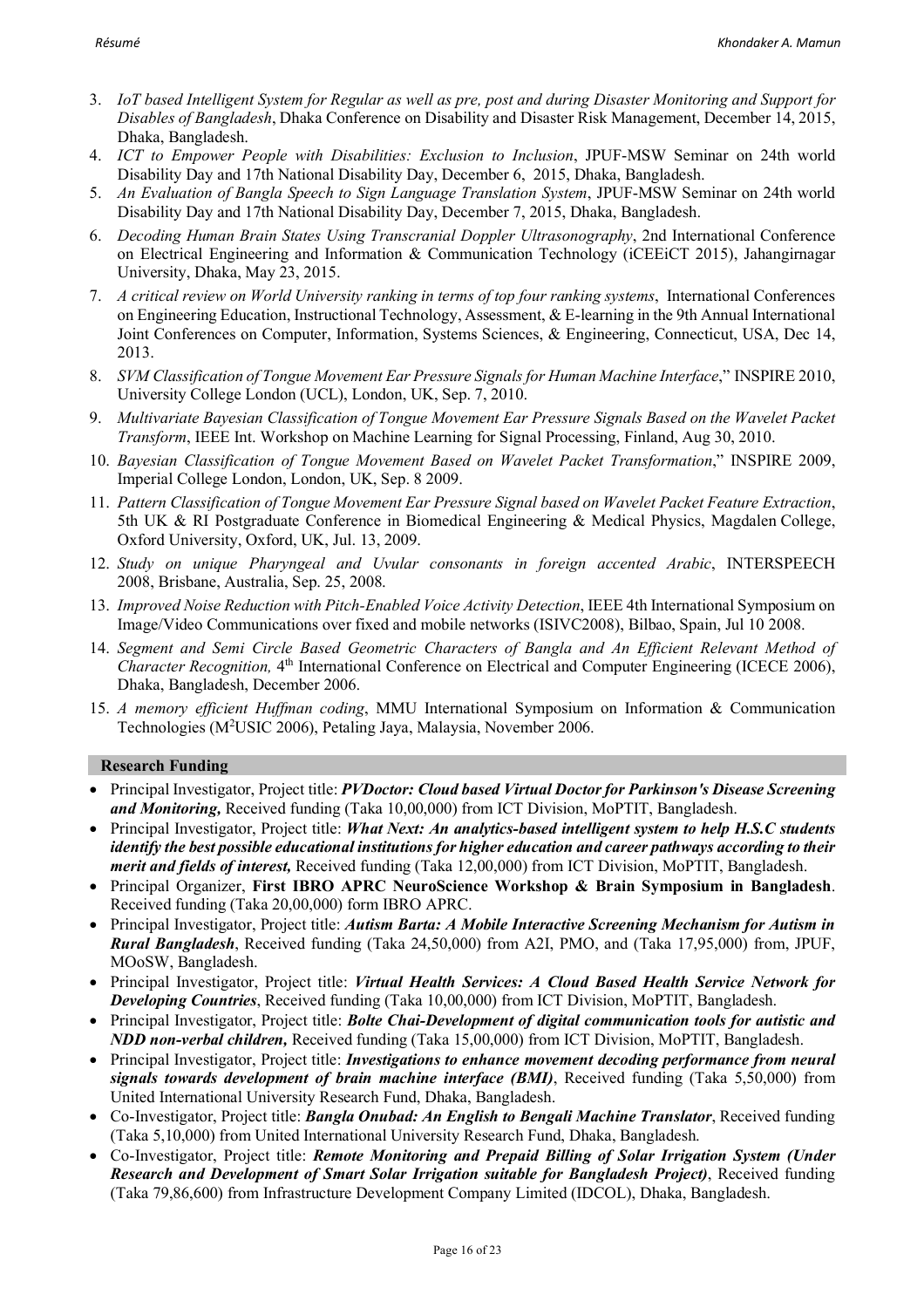- 3. *IoT based Intelligent System for Regular as well as pre, post and during Disaster Monitoring and Support for Disables of Bangladesh*, Dhaka Conference on Disability and Disaster Risk Management, December 14, 2015, Dhaka, Bangladesh.
- 4. *ICT to Empower People with Disabilities: Exclusion to Inclusion*, JPUF-MSW Seminar on 24th world Disability Day and 17th National Disability Day, December 6, 2015, Dhaka, Bangladesh.
- 5. *An Evaluation of Bangla Speech to Sign Language Translation System*, JPUF-MSW Seminar on 24th world Disability Day and 17th National Disability Day, December 7, 2015, Dhaka, Bangladesh.
- 6. *Decoding Human Brain States Using Transcranial Doppler Ultrasonography*, 2nd International Conference on Electrical Engineering and Information & Communication Technology (iCEEiCT 2015), Jahangirnagar University, Dhaka, May 23, 2015.
- 7. *A critical review on World University ranking in terms of top four ranking systems*, International Conferences on Engineering Education, Instructional Technology, Assessment, & E-learning in the 9th Annual International Joint Conferences on Computer, Information, Systems Sciences, & Engineering, Connecticut, USA, Dec 14, 2013.
- 8. *SVM Classification of Tongue Movement Ear Pressure Signals for Human Machine Interface*," INSPIRE 2010, University College London (UCL), London, UK, Sep. 7, 2010.
- 9. *Multivariate Bayesian Classification of Tongue Movement Ear Pressure Signals Based on the Wavelet Packet Transform*, IEEE Int. Workshop on Machine Learning for Signal Processing, Finland, Aug 30, 2010.
- 10. *Bayesian Classification of Tongue Movement Based on Wavelet Packet Transformation*," INSPIRE 2009, Imperial College London, London, UK, Sep. 8 2009.
- 11. *Pattern Classification of Tongue Movement Ear Pressure Signal based on Wavelet Packet Feature Extraction*, 5th UK & RI Postgraduate Conference in Biomedical Engineering & Medical Physics, Magdalen College, Oxford University, Oxford, UK, Jul. 13, 2009.
- 12. *Study on unique Pharyngeal and Uvular consonants in foreign accented Arabic*, INTERSPEECH 2008, Brisbane, Australia, Sep. 25, 2008.
- 13. *Improved Noise Reduction with Pitch-Enabled Voice Activity Detection*, IEEE 4th International Symposium on Image/Video Communications over fixed and mobile networks (ISIVC2008), Bilbao, Spain, Jul 10 2008.
- 14. *Segment and Semi Circle Based Geometric Characters of Bangla and An Efficient Relevant Method of Character Recognition,* 4<sup>th</sup> International Conference on Electrical and Computer Engineering (ICECE 2006), Dhaka, Bangladesh, December 2006.
- 15. *A memory efficient Huffman coding*, MMU International Symposium on Information & Communication Technologies (M<sup>2</sup>USIC 2006), Petaling Jaya, Malaysia, November 2006.

## **Research Funding**

- Principal Investigator, Project title: *PVDoctor: Cloud based Virtual Doctor for Parkinson's Disease Screening and Monitoring,* Received funding (Taka 10,00,000) from ICT Division, MoPTIT, Bangladesh.
- Principal Investigator, Project title: *What Next: An analytics-based intelligent system to help H.S.C students identify the best possible educational institutions for higher education and career pathways according to their merit and fields of interest,* Received funding (Taka 12,00,000) from ICT Division, MoPTIT, Bangladesh.
- Principal Organizer, **First IBRO APRC NeuroScience Workshop & Brain Symposium in Bangladesh**. Received funding (Taka 20,00,000) form IBRO APRC.
- Principal Investigator, Project title: *Autism Barta: A Mobile Interactive Screening Mechanism for Autism in Rural Bangladesh*, Received funding (Taka 24,50,000) from A2I, PMO, and (Taka 17,95,000) from, JPUF, MOoSW, Bangladesh.
- Principal Investigator, Project title: *Virtual Health Services: A Cloud Based Health Service Network for Developing Countries*, Received funding (Taka 10,00,000) from ICT Division, MoPTIT, Bangladesh.
- Principal Investigator, Project title: *Bolte Chai-Development of digital communication tools for autistic and NDD non-verbal children,* Received funding (Taka 15,00,000) from ICT Division, MoPTIT, Bangladesh.
- Principal Investigator, Project title: *Investigations to enhance movement decoding performance from neural signals towards development of brain machine interface (BMI)*, Received funding (Taka 5,50,000) from United International University Research Fund, Dhaka, Bangladesh.
- Co-Investigator, Project title: *Bangla Onubad: An English to Bengali Machine Translator*, Received funding (Taka 5,10,000) from United International University Research Fund, Dhaka, Bangladesh.
- Co-Investigator, Project title: *Remote Monitoring and Prepaid Billing of Solar Irrigation System (Under Research and Development of Smart Solar Irrigation suitable for Bangladesh Project)*, Received funding (Taka 79,86,600) from Infrastructure Development Company Limited (IDCOL), Dhaka, Bangladesh.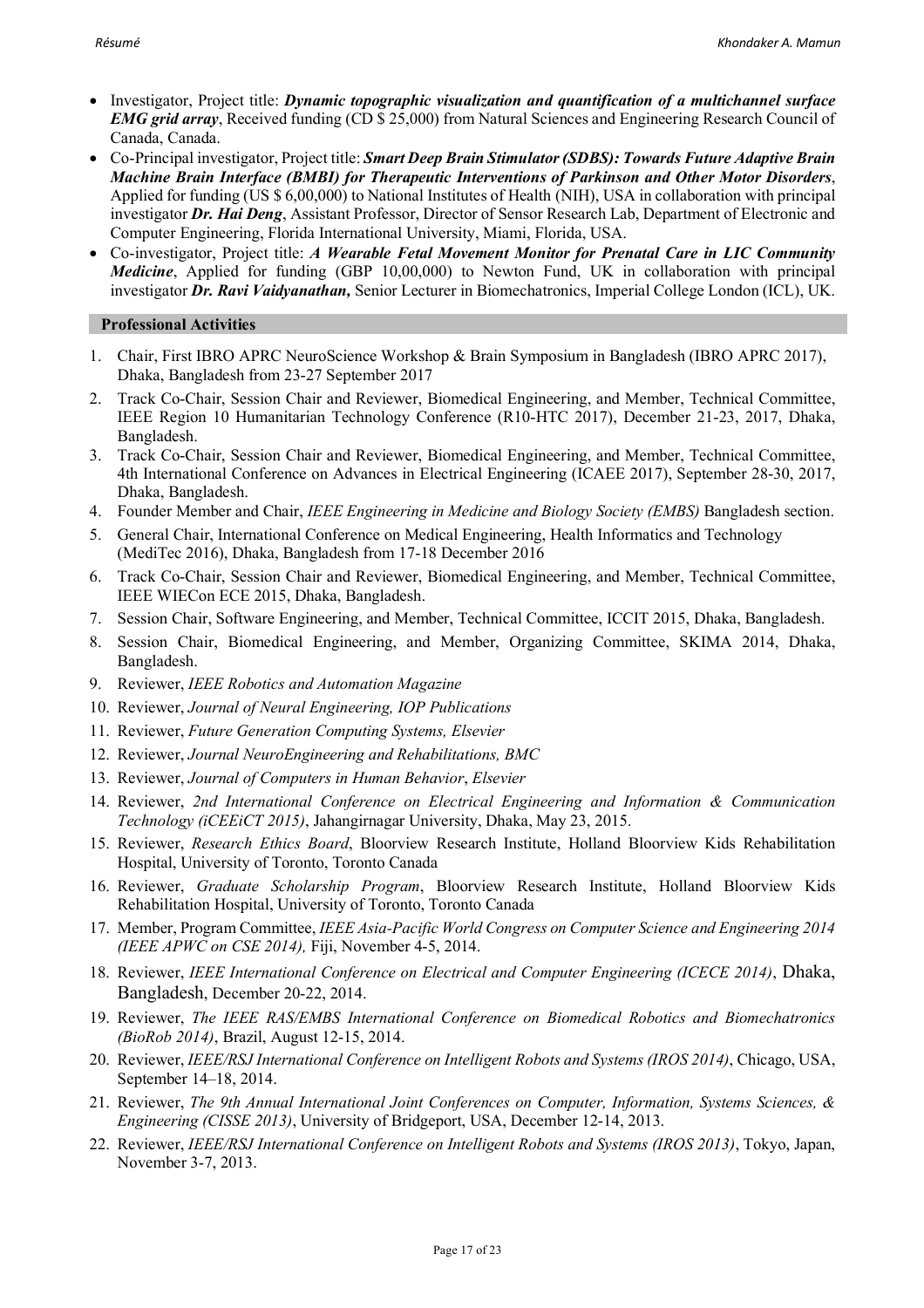- Investigator, Project title: *Dynamic topographic visualization and quantification of a multichannel surface EMG grid array*, Received funding (CD  $\bar{\$}$  25,000) from Natural Sciences and Engineering Research Council of Canada, Canada.
- Co-Principal investigator, Project title: *Smart Deep Brain Stimulator (SDBS): Towards Future Adaptive Brain Machine Brain Interface (BMBI) for Therapeutic Interventions of Parkinson and Other Motor Disorders*, Applied for funding (US \$ 6,00,000) to National Institutes of Health (NIH), USA in collaboration with principal investigator *Dr. Hai Deng*, Assistant Professor, Director of Sensor Research Lab, Department of Electronic and Computer Engineering, Florida International University, Miami, Florida, USA.
- Co-investigator, Project title: *A Wearable Fetal Movement Monitor for Prenatal Care in LIC Community Medicine*, Applied for funding (GBP 10,00,000) to Newton Fund, UK in collaboration with principal investigator *Dr. Ravi Vaidyanathan,* Senior Lecturer in Biomechatronics, Imperial College London (ICL), UK.

## **Professional Activities**

- 1. Chair, First IBRO APRC NeuroScience Workshop & Brain Symposium in Bangladesh (IBRO APRC 2017), Dhaka, Bangladesh from 23-27 September 2017
- 2. Track Co-Chair, Session Chair and Reviewer, Biomedical Engineering, and Member, Technical Committee, IEEE Region 10 Humanitarian Technology Conference (R10-HTC 2017), December 21-23, 2017, Dhaka, Bangladesh.
- 3. Track Co-Chair, Session Chair and Reviewer, Biomedical Engineering, and Member, Technical Committee, 4th International Conference on Advances in Electrical Engineering (ICAEE 2017), September 28-30, 2017, Dhaka, Bangladesh.
- 4. Founder Member and Chair, *IEEE Engineering in Medicine and Biology Society (EMBS)* Bangladesh section.
- 5. General Chair, International Conference on Medical Engineering, Health Informatics and Technology (MediTec 2016), Dhaka, Bangladesh from 17-18 December 2016
- 6. Track Co-Chair, Session Chair and Reviewer, Biomedical Engineering, and Member, Technical Committee, IEEE WIECon ECE 2015, Dhaka, Bangladesh.
- 7. Session Chair, Software Engineering, and Member, Technical Committee, ICCIT 2015, Dhaka, Bangladesh.
- 8. Session Chair, Biomedical Engineering, and Member, Organizing Committee, SKIMA 2014, Dhaka, Bangladesh.
- 9. Reviewer, *IEEE Robotics and Automation Magazine*
- 10. Reviewer, *Journal of Neural Engineering, IOP Publications*
- 11. Reviewer, *Future Generation Computing Systems, Elsevier*
- 12. Reviewer, *Journal NeuroEngineering and Rehabilitations, BMC*
- 13. Reviewer, *Journal of Computers in Human Behavior*, *Elsevier*
- 14. Reviewer, *2nd International Conference on Electrical Engineering and Information & Communication Technology (iCEEiCT 2015)*, Jahangirnagar University, Dhaka, May 23, 2015.
- 15. Reviewer, *Research Ethics Board*, Bloorview Research Institute, Holland Bloorview Kids Rehabilitation Hospital, University of Toronto, Toronto Canada
- 16. Reviewer, *Graduate Scholarship Program*, Bloorview Research Institute, Holland Bloorview Kids Rehabilitation Hospital, University of Toronto, Toronto Canada
- 17. Member, Program Committee, *IEEE Asia-Pacific World Congress on Computer Science and Engineering 2014 (IEEE APWC on CSE 2014),* Fiji, November 4-5, 2014.
- 18. Reviewer, *IEEE International Conference on Electrical and Computer Engineering (ICECE 2014)*, Dhaka, Bangladesh, December 20-22, 2014.
- 19. Reviewer, *The IEEE RAS/EMBS International Conference on Biomedical Robotics and Biomechatronics (BioRob 2014)*, Brazil, August 12-15, 2014.
- 20. Reviewer, *IEEE/RSJ International Conference on Intelligent Robots and Systems (IROS 2014)*, Chicago, USA, September 14–18, 2014.
- 21. Reviewer, *The 9th Annual International Joint Conferences on Computer, Information, Systems Sciences, & Engineering (CISSE 2013)*, University of Bridgeport, USA, December 12-14, 2013.
- 22. Reviewer, *IEEE/RSJ International Conference on Intelligent Robots and Systems (IROS 2013)*, Tokyo, Japan, November 3-7, 2013.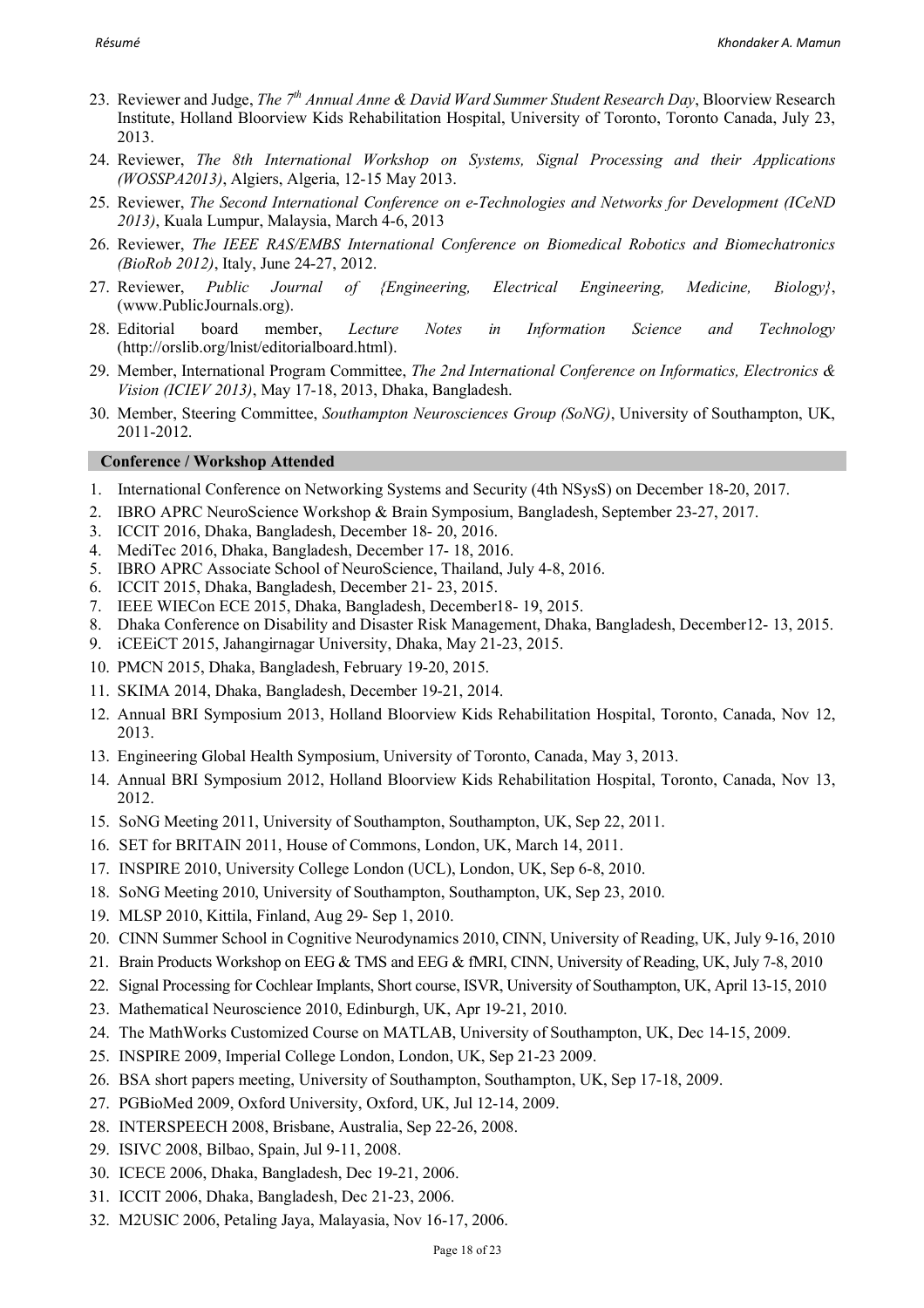- 23. Reviewer and Judge, *The 7th Annual Anne & David Ward Summer Student Research Day*, Bloorview Research Institute, Holland Bloorview Kids Rehabilitation Hospital, University of Toronto, Toronto Canada, July 23, 2013.
- 24. Reviewer, *The 8th International Workshop on Systems, Signal Processing and their Applications (WOSSPA2013)*, Algiers, Algeria, 12-15 May 2013.
- 25. Reviewer, *The Second International Conference on e-Technologies and Networks for Development (ICeND 2013)*, Kuala Lumpur, Malaysia, March 4-6, 2013
- 26. Reviewer, *The IEEE RAS/EMBS International Conference on Biomedical Robotics and Biomechatronics (BioRob 2012)*, Italy, June 24-27, 2012.
- 27. Reviewer, *Public Journal of {Engineering, Electrical Engineering, Medicine, Biology}*, (www.PublicJournals.org).
- 28. Editorial board member, *Lecture Notes in Information Science and Technology* (http://orslib.org/lnist/editorialboard.html).
- 29. Member, International Program Committee, *The 2nd International Conference on Informatics, Electronics & Vision (ICIEV 2013)*, May 17-18, 2013, Dhaka, Bangladesh.
- 30. Member, Steering Committee, *Southampton Neurosciences Group (SoNG)*, University of Southampton, UK, 2011-2012.

#### **Conference / Workshop Attended**

- 1. International Conference on Networking Systems and Security (4th NSysS) on December 18-20, 2017.
- 2. IBRO APRC NeuroScience Workshop & Brain Symposium, Bangladesh, September 23-27, 2017.
- 3. ICCIT 2016, Dhaka, Bangladesh, December 18- 20, 2016.
- 4. MediTec 2016, Dhaka, Bangladesh, December 17- 18, 2016.
- 5. IBRO APRC Associate School of NeuroScience, Thailand, July 4-8, 2016.
- 6. ICCIT 2015, Dhaka, Bangladesh, December 21- 23, 2015.
- 7. IEEE WIECon ECE 2015, Dhaka, Bangladesh, December18- 19, 2015.
- 8. Dhaka Conference on Disability and Disaster Risk Management, Dhaka, Bangladesh, December12- 13, 2015.
- 9. iCEEiCT 2015, Jahangirnagar University, Dhaka, May 21-23, 2015.
- 10. PMCN 2015, Dhaka, Bangladesh, February 19-20, 2015.
- 11. SKIMA 2014, Dhaka, Bangladesh, December 19-21, 2014.
- 12. Annual BRI Symposium 2013, Holland Bloorview Kids Rehabilitation Hospital, Toronto, Canada, Nov 12, 2013.
- 13. Engineering Global Health Symposium, University of Toronto, Canada, May 3, 2013.
- 14. Annual BRI Symposium 2012, Holland Bloorview Kids Rehabilitation Hospital, Toronto, Canada, Nov 13, 2012.
- 15. SoNG Meeting 2011, University of Southampton, Southampton, UK, Sep 22, 2011.
- 16. SET for BRITAIN 2011, House of Commons, London, UK, March 14, 2011.
- 17. INSPIRE 2010, University College London (UCL), London, UK, Sep 6-8, 2010.
- 18. SoNG Meeting 2010, University of Southampton, Southampton, UK, Sep 23, 2010.
- 19. MLSP 2010, Kittila, Finland, Aug 29- Sep 1, 2010.
- 20. CINN Summer School in Cognitive Neurodynamics 2010, CINN, University of Reading, UK, July 9-16, 2010
- 21. Brain Products Workshop on EEG & TMS and EEG & fMRI, CINN, University of Reading, UK, July 7-8, 2010
- 22. Signal Processing for Cochlear Implants, Short course, ISVR, University of Southampton, UK, April 13-15, 2010
- 23. Mathematical Neuroscience 2010, Edinburgh, UK, Apr 19-21, 2010.
- 24. The MathWorks Customized Course on MATLAB, University of Southampton, UK, Dec 14-15, 2009.
- 25. INSPIRE 2009, Imperial College London, London, UK, Sep 21-23 2009.
- 26. BSA short papers meeting, University of Southampton, Southampton, UK, Sep 17-18, 2009.
- 27. PGBioMed 2009, Oxford University, Oxford, UK, Jul 12-14, 2009.
- 28. INTERSPEECH 2008, Brisbane, Australia, Sep 22-26, 2008.
- 29. ISIVC 2008, Bilbao, Spain, Jul 9-11, 2008.
- 30. ICECE 2006, Dhaka, Bangladesh, Dec 19-21, 2006.
- 31. ICCIT 2006, Dhaka, Bangladesh, Dec 21-23, 2006.
- 32. M2USIC 2006, Petaling Jaya, Malayasia, Nov 16-17, 2006.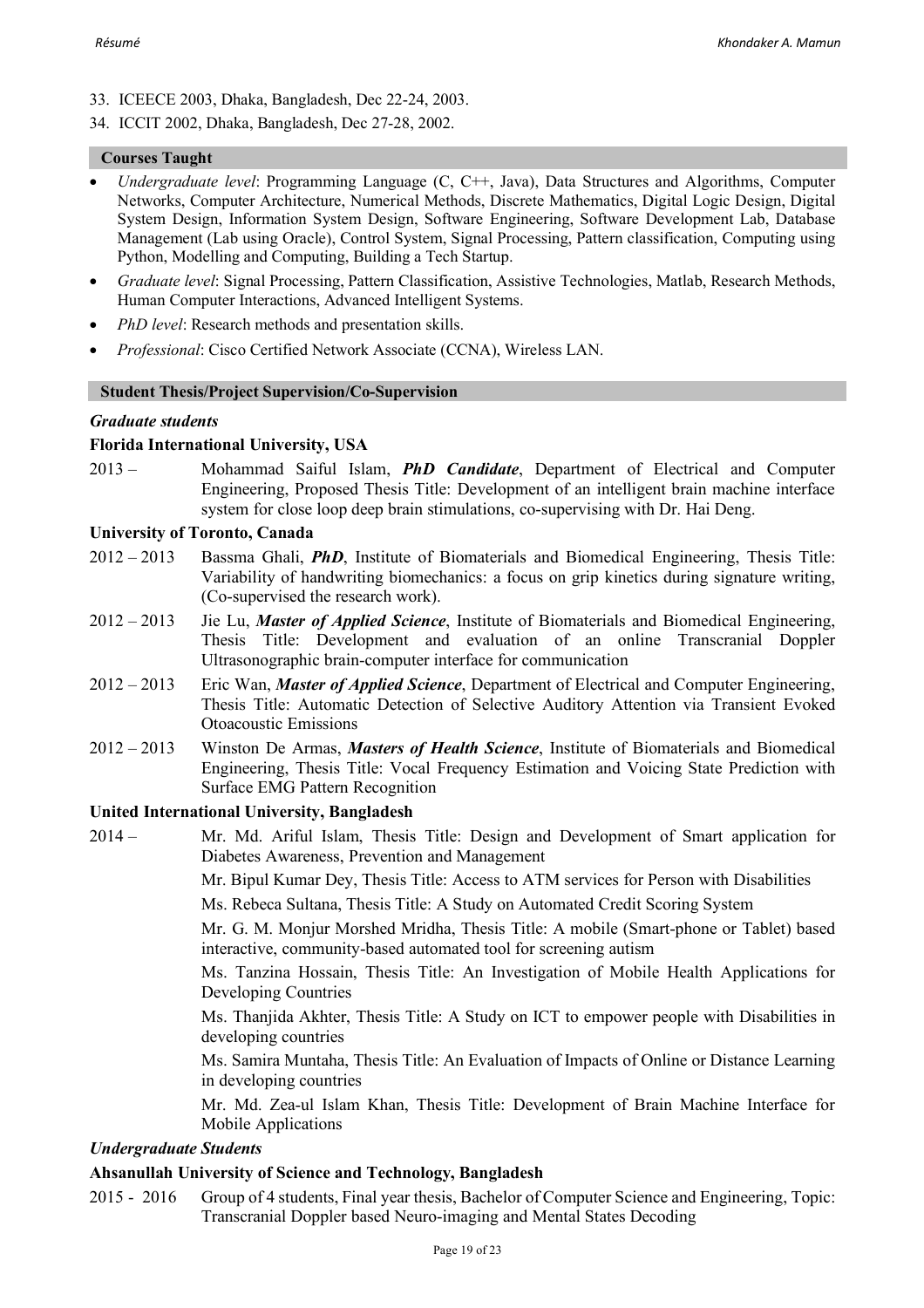- 33. ICEECE 2003, Dhaka, Bangladesh, Dec 22-24, 2003.
- 34. ICCIT 2002, Dhaka, Bangladesh, Dec 27-28, 2002.

## **Courses Taught**

- *Undergraduate level*: Programming Language (C, C++, Java), Data Structures and Algorithms, Computer Networks, Computer Architecture, Numerical Methods, Discrete Mathematics, Digital Logic Design, Digital System Design, Information System Design, Software Engineering, Software Development Lab, Database Management (Lab using Oracle), Control System, Signal Processing, Pattern classification, Computing using Python, Modelling and Computing, Building a Tech Startup.
- *Graduate level*: Signal Processing, Pattern Classification, Assistive Technologies, Matlab, Research Methods, Human Computer Interactions, Advanced Intelligent Systems.
- *PhD level*: Research methods and presentation skills.
- *Professional*: Cisco Certified Network Associate (CCNA), Wireless LAN.

#### **Student Thesis/Project Supervision/Co-Supervision**

#### *Graduate students*

## **Florida International University, USA**

2013 – Mohammad Saiful Islam, *PhD Candidate*, Department of Electrical and Computer Engineering, Proposed Thesis Title: Development of an intelligent brain machine interface system for close loop deep brain stimulations, co-supervising with Dr. Hai Deng.

#### **University of Toronto, Canada**

- 2012 2013 Bassma Ghali, *PhD*, Institute of Biomaterials and Biomedical Engineering, Thesis Title: Variability of handwriting biomechanics: a focus on grip kinetics during signature writing, (Co-supervised the research work).
- 2012 2013 Jie Lu, *Master of Applied Science*, Institute of Biomaterials and Biomedical Engineering, Thesis Title: Development and evaluation of an online Transcranial Doppler Ultrasonographic brain-computer interface for communication
- 2012 2013 Eric Wan, *Master of Applied Science*, Department of Electrical and Computer Engineering, Thesis Title: Automatic Detection of Selective Auditory Attention via Transient Evoked Otoacoustic Emissions
- 2012 2013 Winston De Armas, *Masters of Health Science*, Institute of Biomaterials and Biomedical Engineering, Thesis Title: Vocal Frequency Estimation and Voicing State Prediction with Surface EMG Pattern Recognition

## **United International University, Bangladesh**

2014 – Mr. Md. Ariful Islam, Thesis Title: Design and Development of Smart application for Diabetes Awareness, Prevention and Management

Mr. Bipul Kumar Dey, Thesis Title: Access to ATM services for Person with Disabilities

Ms. Rebeca Sultana, Thesis Title: A Study on Automated Credit Scoring System

Mr. G. M. Monjur Morshed Mridha, Thesis Title: A mobile (Smart-phone or Tablet) based interactive, community-based automated tool for screening autism

Ms. Tanzina Hossain, Thesis Title: An Investigation of Mobile Health Applications for Developing Countries

Ms. Thanjida Akhter, Thesis Title: A Study on ICT to empower people with Disabilities in developing countries

Ms. Samira Muntaha, Thesis Title: An Evaluation of Impacts of Online or Distance Learning in developing countries

Mr. Md. Zea-ul Islam Khan, Thesis Title: Development of Brain Machine Interface for Mobile Applications

## *Undergraduate Students*

## **Ahsanullah University of Science and Technology, Bangladesh**

2015 - 2016 Group of 4 students, Final year thesis, Bachelor of Computer Science and Engineering, Topic: Transcranial Doppler based Neuro-imaging and Mental States Decoding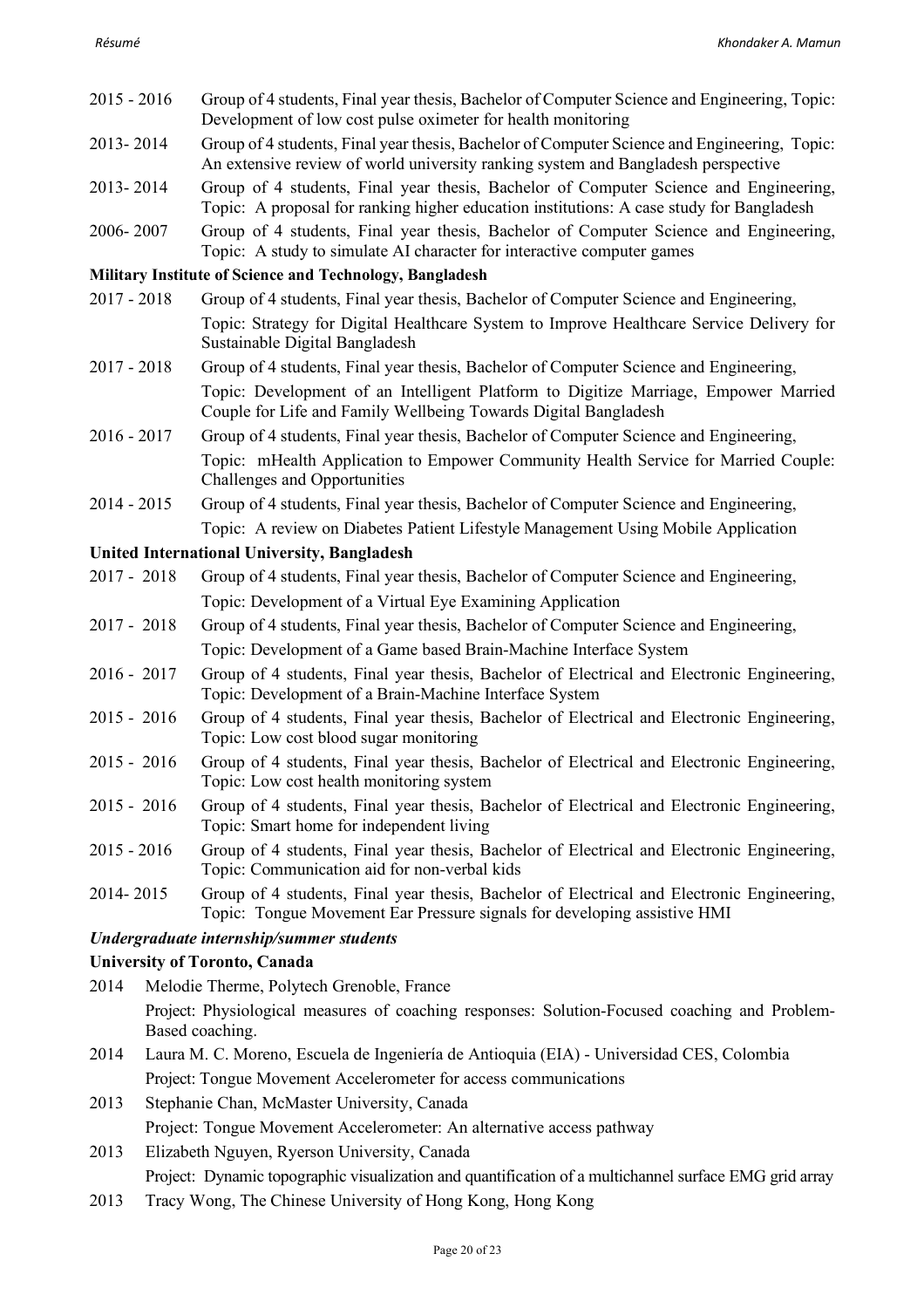- 2015 2016 Group of 4 students, Final year thesis, Bachelor of Computer Science and Engineering, Topic: Development of low cost pulse oximeter for health monitoring
- 2013- 2014 Group of 4 students, Final year thesis, Bachelor of Computer Science and Engineering, Topic: An extensive review of world university ranking system and Bangladesh perspective
- 2013- 2014 Group of 4 students, Final year thesis, Bachelor of Computer Science and Engineering, Topic: A proposal for ranking higher education institutions: A case study for Bangladesh
- 2006- 2007 Group of 4 students, Final year thesis, Bachelor of Computer Science and Engineering, Topic: A study to simulate AI character for interactive computer games

## **Military Institute of Science and Technology, Bangladesh**

- 2017 2018 Group of 4 students, Final year thesis, Bachelor of Computer Science and Engineering, Topic: Strategy for Digital Healthcare System to Improve Healthcare Service Delivery for Sustainable Digital Bangladesh
- 2017 2018 Group of 4 students, Final year thesis, Bachelor of Computer Science and Engineering, Topic: Development of an Intelligent Platform to Digitize Marriage, Empower Married Couple for Life and Family Wellbeing Towards Digital Bangladesh
- 2016 2017 Group of 4 students, Final year thesis, Bachelor of Computer Science and Engineering, Topic: mHealth Application to Empower Community Health Service for Married Couple: Challenges and Opportunities
- 2014 2015 Group of 4 students, Final year thesis, Bachelor of Computer Science and Engineering, Topic: A review on Diabetes Patient Lifestyle Management Using Mobile Application

## **United International University, Bangladesh**

- 2017 2018 Group of 4 students, Final year thesis, Bachelor of Computer Science and Engineering, Topic: Development of a Virtual Eye Examining Application
- 2017 2018 Group of 4 students, Final year thesis, Bachelor of Computer Science and Engineering, Topic: Development of a Game based Brain-Machine Interface System
- 2016 2017 Group of 4 students, Final year thesis, Bachelor of Electrical and Electronic Engineering, Topic: Development of a Brain-Machine Interface System
- 2015 2016 Group of 4 students, Final year thesis, Bachelor of Electrical and Electronic Engineering, Topic: Low cost blood sugar monitoring
- 2015 2016 Group of 4 students, Final year thesis, Bachelor of Electrical and Electronic Engineering, Topic: Low cost health monitoring system
- 2015 2016 Group of 4 students, Final year thesis, Bachelor of Electrical and Electronic Engineering, Topic: Smart home for independent living
- 2015 2016 Group of 4 students, Final year thesis, Bachelor of Electrical and Electronic Engineering, Topic: Communication aid for non-verbal kids
- 2014- 2015 Group of 4 students, Final year thesis, Bachelor of Electrical and Electronic Engineering, Topic: Tongue Movement Ear Pressure signals for developing assistive HMI

## *Undergraduate internship/summer students*

## **University of Toronto, Canada**

- 2014 Melodie Therme, Polytech Grenoble, France Project: Physiological measures of coaching responses: Solution-Focused coaching and Problem-Based coaching.
- 2014 Laura M. C. Moreno, Escuela de Ingeniería de Antioquia (EIA) Universidad CES, Colombia Project: Tongue Movement Accelerometer for access communications
- 2013 Stephanie Chan, McMaster University, Canada Project: Tongue Movement Accelerometer: An alternative access pathway
- 2013 Elizabeth Nguyen, Ryerson University, Canada Project: Dynamic topographic visualization and quantification of a multichannel surface EMG grid array
- 2013 Tracy Wong, The Chinese University of Hong Kong, Hong Kong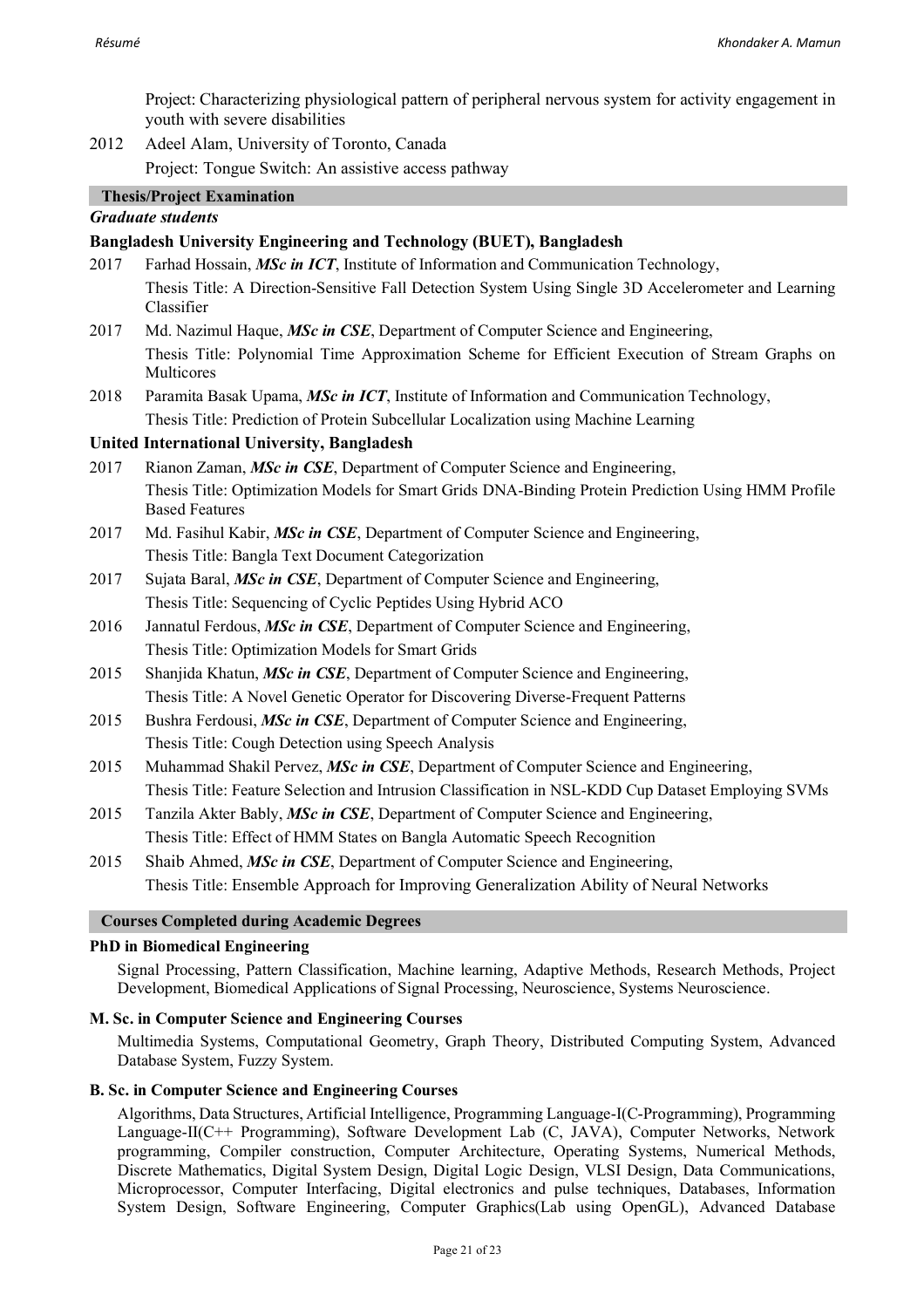Project: Characterizing physiological pattern of peripheral nervous system for activity engagement in youth with severe disabilities

2012 Adeel Alam, University of Toronto, Canada Project: Tongue Switch: An assistive access pathway

## **Thesis/Project Examination**

## *Graduate students*

## **Bangladesh University Engineering and Technology (BUET), Bangladesh**

- 2017 Farhad Hossain, *MSc in ICT*, Institute of Information and Communication Technology, Thesis Title: A Direction-Sensitive Fall Detection System Using Single 3D Accelerometer and Learning Classifier
- 2017 Md. Nazimul Haque, *MSc in CSE*, Department of Computer Science and Engineering, Thesis Title: Polynomial Time Approximation Scheme for Efficient Execution of Stream Graphs on Multicores
- 2018 Paramita Basak Upama, *MSc in ICT*, Institute of Information and Communication Technology, Thesis Title: Prediction of Protein Subcellular Localization using Machine Learning

## **United International University, Bangladesh**

- 2017 Rianon Zaman, *MSc in CSE*, Department of Computer Science and Engineering, Thesis Title: Optimization Models for Smart Grids DNA-Binding Protein Prediction Using HMM Profile Based Features
- 2017 Md. Fasihul Kabir, *MSc in CSE*, Department of Computer Science and Engineering, Thesis Title: Bangla Text Document Categorization
- 2017 Sujata Baral, *MSc in CSE*, Department of Computer Science and Engineering, Thesis Title: Sequencing of Cyclic Peptides Using Hybrid ACO
- 2016 Jannatul Ferdous, *MSc in CSE*, Department of Computer Science and Engineering, Thesis Title: Optimization Models for Smart Grids
- 2015 Shanjida Khatun, *MSc in CSE*, Department of Computer Science and Engineering, Thesis Title: A Novel Genetic Operator for Discovering Diverse-Frequent Patterns
- 2015 Bushra Ferdousi, *MSc in CSE*, Department of Computer Science and Engineering, Thesis Title: Cough Detection using Speech Analysis
- 2015 Muhammad Shakil Pervez, *MSc in CSE*, Department of Computer Science and Engineering, Thesis Title: Feature Selection and Intrusion Classification in NSL-KDD Cup Dataset Employing SVMs
- 2015 Tanzila Akter Bably, *MSc in CSE*, Department of Computer Science and Engineering, Thesis Title: Effect of HMM States on Bangla Automatic Speech Recognition
- 2015 Shaib Ahmed, *MSc in CSE*, Department of Computer Science and Engineering, Thesis Title: Ensemble Approach for Improving Generalization Ability of Neural Networks

## **Courses Completed during Academic Degrees**

## **PhD in Biomedical Engineering**

Signal Processing, Pattern Classification, Machine learning, Adaptive Methods, Research Methods, Project Development, Biomedical Applications of Signal Processing, Neuroscience, Systems Neuroscience.

## **M. Sc. in Computer Science and Engineering Courses**

Multimedia Systems, Computational Geometry, Graph Theory, Distributed Computing System, Advanced Database System, Fuzzy System.

## **B. Sc. in Computer Science and Engineering Courses**

Algorithms, Data Structures, Artificial Intelligence, Programming Language-I(C-Programming), Programming Language-II(C++ Programming), Software Development Lab (C, JAVA), Computer Networks, Network programming, Compiler construction, Computer Architecture, Operating Systems, Numerical Methods, Discrete Mathematics, Digital System Design, Digital Logic Design, VLSI Design, Data Communications, Microprocessor, Computer Interfacing, Digital electronics and pulse techniques, Databases, Information System Design, Software Engineering, Computer Graphics(Lab using OpenGL), Advanced Database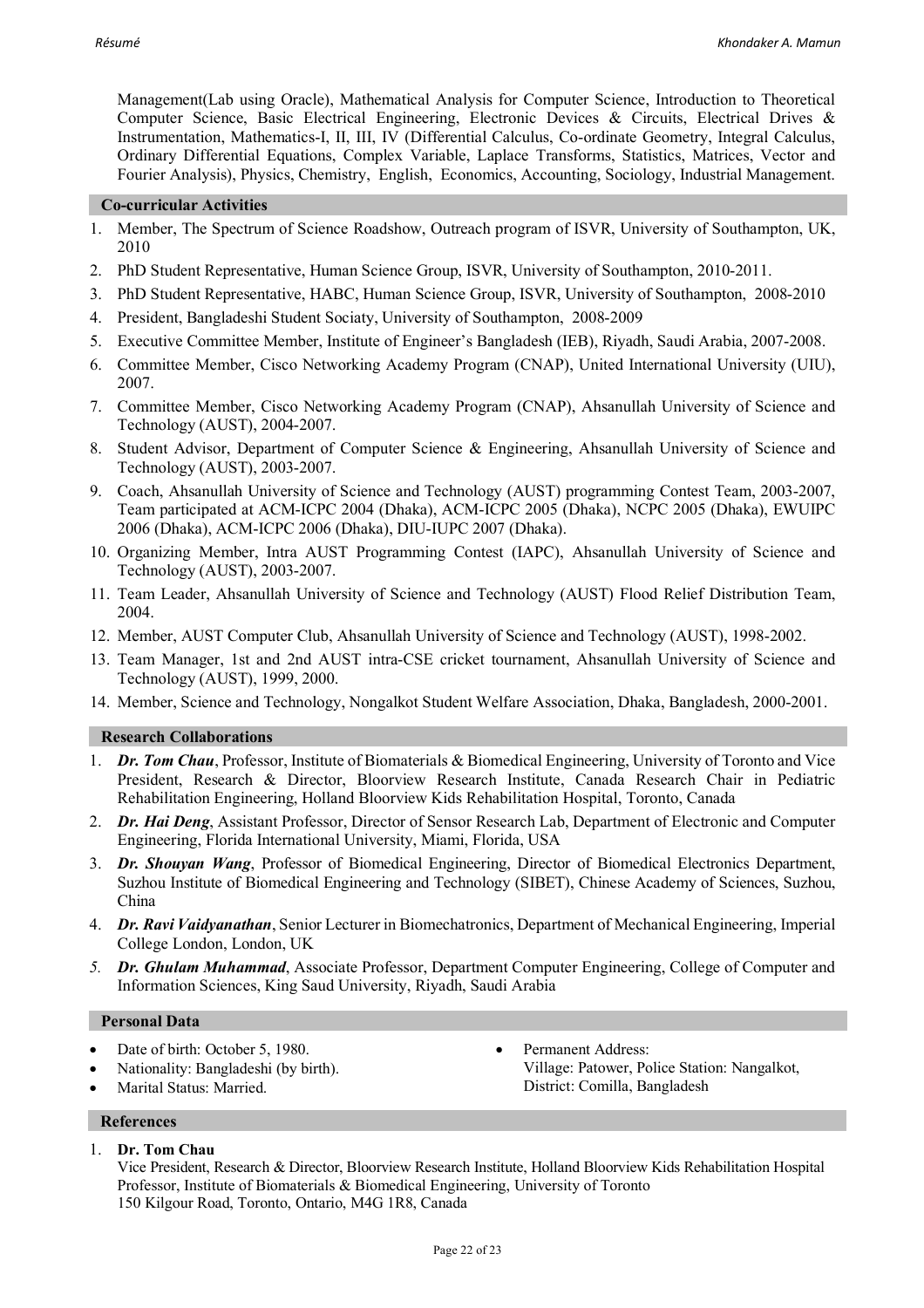Management(Lab using Oracle), Mathematical Analysis for Computer Science, Introduction to Theoretical Computer Science, Basic Electrical Engineering, Electronic Devices & Circuits, Electrical Drives & Instrumentation, Mathematics-I, II, III, IV (Differential Calculus, Co-ordinate Geometry, Integral Calculus, Ordinary Differential Equations, Complex Variable, Laplace Transforms, Statistics, Matrices, Vector and Fourier Analysis), Physics, Chemistry, English, Economics, Accounting, Sociology, Industrial Management.

#### **Co-curricular Activities**

- 1. Member, The Spectrum of Science Roadshow, Outreach program of ISVR, University of Southampton, UK, 2010
- 2. PhD Student Representative, Human Science Group, ISVR, University of Southampton, 2010-2011.
- 3. PhD Student Representative, HABC, Human Science Group, ISVR, University of Southampton, 2008-2010
- 4. President, Bangladeshi Student Sociaty, University of Southampton, 2008-2009
- 5. Executive Committee Member, Institute of Engineer's Bangladesh (IEB), Riyadh, Saudi Arabia, 2007-2008.
- 6. Committee Member, Cisco Networking Academy Program (CNAP), United International University (UIU), 2007.
- 7. Committee Member, Cisco Networking Academy Program (CNAP), Ahsanullah University of Science and Technology (AUST), 2004-2007.
- 8. Student Advisor, Department of Computer Science & Engineering, Ahsanullah University of Science and Technology (AUST), 2003-2007.
- 9. Coach, Ahsanullah University of Science and Technology (AUST) programming Contest Team, 2003-2007, Team participated at ACM-ICPC 2004 (Dhaka), ACM-ICPC 2005 (Dhaka), NCPC 2005 (Dhaka), EWUIPC 2006 (Dhaka), ACM-ICPC 2006 (Dhaka), DIU-IUPC 2007 (Dhaka).
- 10. Organizing Member, Intra AUST Programming Contest (IAPC), Ahsanullah University of Science and Technology (AUST), 2003-2007.
- 11. Team Leader, Ahsanullah University of Science and Technology (AUST) Flood Relief Distribution Team, 2004.
- 12. Member, AUST Computer Club, Ahsanullah University of Science and Technology (AUST), 1998-2002.
- 13. Team Manager, 1st and 2nd AUST intra-CSE cricket tournament, Ahsanullah University of Science and Technology (AUST), 1999, 2000.
- 14. Member, Science and Technology, Nongalkot Student Welfare Association, Dhaka, Bangladesh, 2000-2001.

## **Research Collaborations**

- 1. *Dr. Tom Chau*, Professor, Institute of Biomaterials & Biomedical Engineering, University of Toronto and Vice President, Research & Director, Bloorview Research Institute, Canada Research Chair in Pediatric Rehabilitation Engineering, Holland Bloorview Kids Rehabilitation Hospital, Toronto, Canada
- 2. *Dr. Hai Deng*, Assistant Professor, Director of Sensor Research Lab, Department of Electronic and Computer Engineering, Florida International University, Miami, Florida, USA
- 3. *Dr. Shouyan Wang*, Professor of Biomedical Engineering, Director of Biomedical Electronics Department, Suzhou Institute of Biomedical Engineering and Technology (SIBET), Chinese Academy of Sciences, Suzhou, China
- 4. *Dr. Ravi Vaidyanathan*, Senior Lecturer in Biomechatronics, Department of Mechanical Engineering, Imperial College London, London, UK
- *5. Dr. Ghulam Muhammad*, Associate Professor, Department Computer Engineering, College of Computer and Information Sciences, King Saud University, Riyadh, Saudi Arabia

#### **Personal Data**

- Date of birth: October 5, 1980.
- Nationality: Bangladeshi (by birth).
- Marital Status: Married.

Permanent Address: Village: Patower, Police Station: Nangalkot, District: Comilla, Bangladesh

## **References**

1. **Dr. Tom Chau**

Vice President, Research & Director, Bloorview Research Institute, Holland Bloorview Kids Rehabilitation Hospital Professor, Institute of Biomaterials & Biomedical Engineering, University of Toronto 150 Kilgour Road, Toronto, Ontario, M4G 1R8, Canada